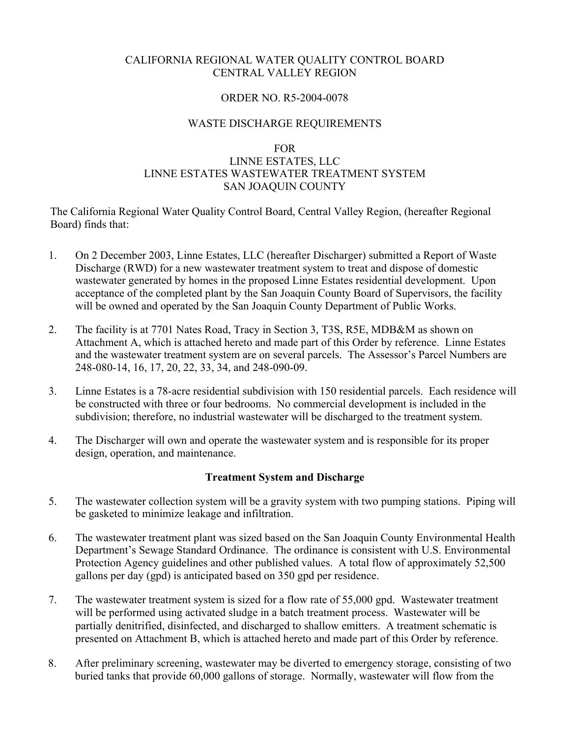## CALIFORNIA REGIONAL WATER QUALITY CONTROL BOARD CENTRAL VALLEY REGION

#### ORDER NO. R5-2004-0078

## WASTE DISCHARGE REQUIREMENTS

#### FOR

## LINNE ESTATES, LLC LINNE ESTATES WASTEWATER TREATMENT SYSTEM SAN JOAQUIN COUNTY

The California Regional Water Quality Control Board, Central Valley Region, (hereafter Regional Board) finds that:

- 1. On 2 December 2003, Linne Estates, LLC (hereafter Discharger) submitted a Report of Waste Discharge (RWD) for a new wastewater treatment system to treat and dispose of domestic wastewater generated by homes in the proposed Linne Estates residential development. Upon acceptance of the completed plant by the San Joaquin County Board of Supervisors, the facility will be owned and operated by the San Joaquin County Department of Public Works.
- 2. The facility is at 7701 Nates Road, Tracy in Section 3, T3S, R5E, MDB&M as shown on Attachment A, which is attached hereto and made part of this Order by reference. Linne Estates and the wastewater treatment system are on several parcels. The Assessor's Parcel Numbers are 248-080-14, 16, 17, 20, 22, 33, 34, and 248-090-09.
- 3. Linne Estates is a 78-acre residential subdivision with 150 residential parcels. Each residence will be constructed with three or four bedrooms. No commercial development is included in the subdivision; therefore, no industrial wastewater will be discharged to the treatment system.
- 4. The Discharger will own and operate the wastewater system and is responsible for its proper design, operation, and maintenance.

#### **Treatment System and Discharge**

- 5. The wastewater collection system will be a gravity system with two pumping stations. Piping will be gasketed to minimize leakage and infiltration.
- 6. The wastewater treatment plant was sized based on the San Joaquin County Environmental Health Department's Sewage Standard Ordinance. The ordinance is consistent with U.S. Environmental Protection Agency guidelines and other published values. A total flow of approximately 52,500 gallons per day (gpd) is anticipated based on 350 gpd per residence.
- 7. The wastewater treatment system is sized for a flow rate of 55,000 gpd. Wastewater treatment will be performed using activated sludge in a batch treatment process. Wastewater will be partially denitrified, disinfected, and discharged to shallow emitters. A treatment schematic is presented on Attachment B, which is attached hereto and made part of this Order by reference.
- 8. After preliminary screening, wastewater may be diverted to emergency storage, consisting of two buried tanks that provide 60,000 gallons of storage. Normally, wastewater will flow from the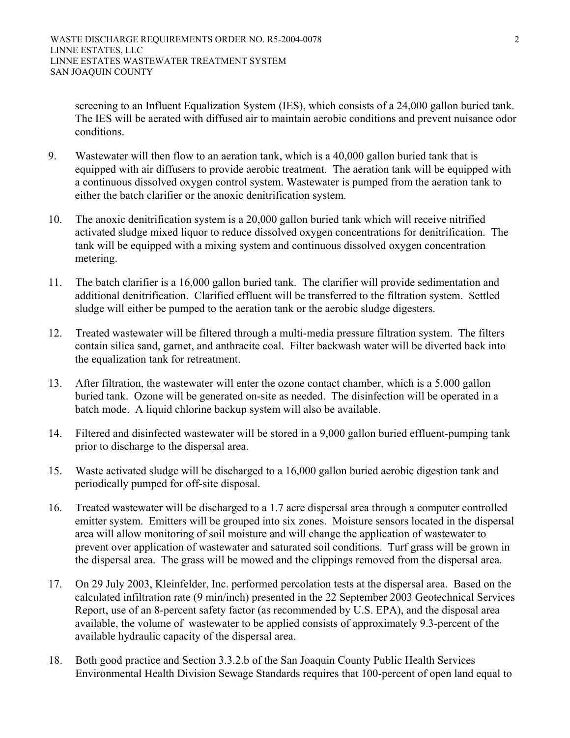screening to an Influent Equalization System (IES), which consists of a 24,000 gallon buried tank. The IES will be aerated with diffused air to maintain aerobic conditions and prevent nuisance odor conditions.

- 9. Wastewater will then flow to an aeration tank, which is a 40,000 gallon buried tank that is equipped with air diffusers to provide aerobic treatment. The aeration tank will be equipped with a continuous dissolved oxygen control system. Wastewater is pumped from the aeration tank to either the batch clarifier or the anoxic denitrification system.
- 10. The anoxic denitrification system is a 20,000 gallon buried tank which will receive nitrified activated sludge mixed liquor to reduce dissolved oxygen concentrations for denitrification. The tank will be equipped with a mixing system and continuous dissolved oxygen concentration metering.
- 11. The batch clarifier is a 16,000 gallon buried tank. The clarifier will provide sedimentation and additional denitrification. Clarified effluent will be transferred to the filtration system. Settled sludge will either be pumped to the aeration tank or the aerobic sludge digesters.
- 12. Treated wastewater will be filtered through a multi-media pressure filtration system. The filters contain silica sand, garnet, and anthracite coal. Filter backwash water will be diverted back into the equalization tank for retreatment.
- 13. After filtration, the wastewater will enter the ozone contact chamber, which is a 5,000 gallon buried tank. Ozone will be generated on-site as needed. The disinfection will be operated in a batch mode. A liquid chlorine backup system will also be available.
- 14. Filtered and disinfected wastewater will be stored in a 9,000 gallon buried effluent-pumping tank prior to discharge to the dispersal area.
- 15. Waste activated sludge will be discharged to a 16,000 gallon buried aerobic digestion tank and periodically pumped for off-site disposal.
- 16. Treated wastewater will be discharged to a 1.7 acre dispersal area through a computer controlled emitter system. Emitters will be grouped into six zones. Moisture sensors located in the dispersal area will allow monitoring of soil moisture and will change the application of wastewater to prevent over application of wastewater and saturated soil conditions. Turf grass will be grown in the dispersal area. The grass will be mowed and the clippings removed from the dispersal area.
- 17. On 29 July 2003, Kleinfelder, Inc. performed percolation tests at the dispersal area. Based on the calculated infiltration rate (9 min/inch) presented in the 22 September 2003 Geotechnical Services Report, use of an 8-percent safety factor (as recommended by U.S. EPA), and the disposal area available, the volume of wastewater to be applied consists of approximately 9.3-percent of the available hydraulic capacity of the dispersal area.
- 18. Both good practice and Section 3.3.2.b of the San Joaquin County Public Health Services Environmental Health Division Sewage Standards requires that 100-percent of open land equal to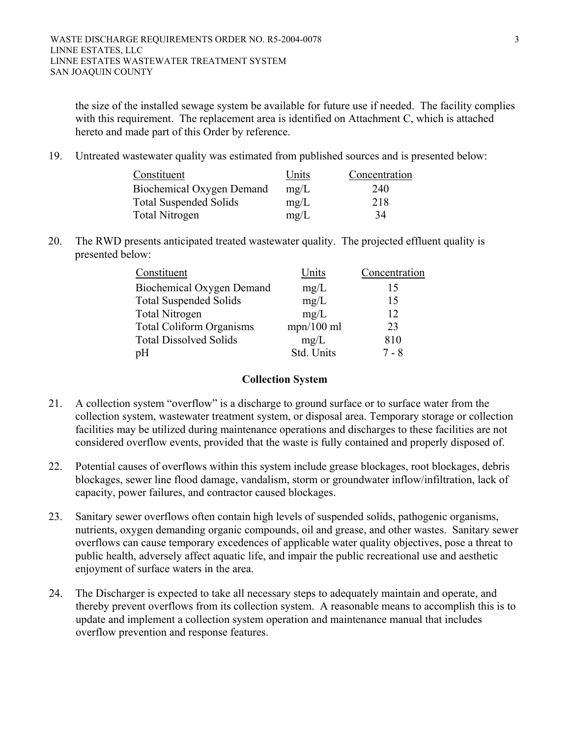the size of the installed sewage system be available for future use if needed. The facility complies with this requirement. The replacement area is identified on Attachment C, which is attached hereto and made part of this Order by reference.

19. Untreated wastewater quality was estimated from published sources and is presented below:

| Constituent                   | Units | Concentration |
|-------------------------------|-------|---------------|
| Biochemical Oxygen Demand     | mg/L  | 240           |
| <b>Total Suspended Solids</b> | mg/L  | 218           |
| Total Nitrogen                | mg/L  | 34            |

20. The RWD presents anticipated treated wastewater quality. The projected effluent quality is presented below:

| Constituent                      | Units        | Concentration |
|----------------------------------|--------------|---------------|
| <b>Biochemical Oxygen Demand</b> | mg/L         | 15            |
| <b>Total Suspended Solids</b>    | mg/L         | 15            |
| <b>Total Nitrogen</b>            | mg/L         | 12            |
| <b>Total Coliform Organisms</b>  | $mpn/100$ ml | 23            |
| <b>Total Dissolved Solids</b>    | mg/L         | 810           |
| pH                               | Std. Units   | $7 - 8$       |

#### **Collection System**

- 21. A collection system "overflow" is a discharge to ground surface or to surface water from the collection system, wastewater treatment system, or disposal area. Temporary storage or collection facilities may be utilized during maintenance operations and discharges to these facilities are not considered overflow events, provided that the waste is fully contained and properly disposed of.
- 22. Potential causes of overflows within this system include grease blockages, root blockages, debris blockages, sewer line flood damage, vandalism, storm or groundwater inflow/infiltration, lack of capacity, power failures, and contractor caused blockages.
- 23. Sanitary sewer overflows often contain high levels of suspended solids, pathogenic organisms, nutrients, oxygen demanding organic compounds, oil and grease, and other wastes. Sanitary sewer overflows can cause temporary excedences of applicable water quality objectives, pose a threat to public health, adversely affect aquatic life, and impair the public recreational use and aesthetic enjoyment of surface waters in the area.
- 24. The Discharger is expected to take all necessary steps to adequately maintain and operate, and thereby prevent overflows from its collection system. A reasonable means to accomplish this is to update and implement a collection system operation and maintenance manual that includes overflow prevention and response features.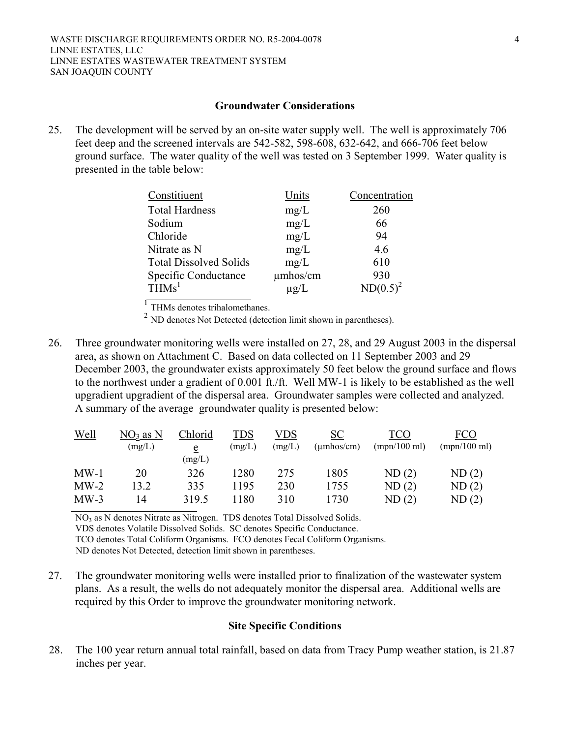#### **Groundwater Considerations**

25. The development will be served by an on-site water supply well. The well is approximately 706 feet deep and the screened intervals are 542-582, 598-608, 632-642, and 666-706 feet below ground surface. The water quality of the well was tested on 3 September 1999. Water quality is presented in the table below:

| Constitiuent                  | Units     | Concentration |
|-------------------------------|-----------|---------------|
| <b>Total Hardness</b>         | mg/L      | 260           |
| Sodium                        | mg/L      | 66            |
| Chloride                      | mg/L      | 94            |
| Nitrate as N                  | mg/L      | 4.6           |
| <b>Total Dissolved Solids</b> | mg/L      | 610           |
| Specific Conductance          | umhos/cm  | 930           |
| THMs <sup>1</sup>             | $\mu$ g/L | $ND(0.5)^2$   |

 $<sup>1</sup>$  THMs denotes trihalomethanes.</sup>

 $^{2}$  ND denotes Not Detected (detection limit shown in parentheses).

26. Three groundwater monitoring wells were installed on 27, 28, and 29 August 2003 in the dispersal area, as shown on Attachment C. Based on data collected on 11 September 2003 and 29 December 2003, the groundwater exists approximately 50 feet below the ground surface and flows to the northwest under a gradient of 0.001 ft./ft. Well MW-1 is likely to be established as the well upgradient upgradient of the dispersal area. Groundwater samples were collected and analyzed. A summary of the average groundwater quality is presented below:

| <u>Well</u> | $NO3$ as N<br>(mg/L) | Chlorid<br>e | TDS<br>(mg/L) | VDS<br>(mg/L) | <b>SC</b><br>$(\mu \text{mhos/cm})$ | TCO<br>(mpn/100 ml) | FCO<br>(mpn/100 ml) |
|-------------|----------------------|--------------|---------------|---------------|-------------------------------------|---------------------|---------------------|
|             |                      | (mg/L)       |               |               |                                     |                     |                     |
| MW-1        | 20                   | 326          | 1280          | 275           | 1805                                | ND(2)               | ND(2)               |
| $MW-2$      | 13.2                 | 335          | 1195          | 230           | 1755                                | ND(2)               | ND(2)               |
| $MW-3$      | 14                   | 319.5        | 1180          | 310           | 1730                                | ND(2)               | ND(2)               |
|             |                      |              |               |               |                                     |                     |                     |

NO3 as N denotes Nitrate as Nitrogen. TDS denotes Total Dissolved Solids.

VDS denotes Volatile Dissolved Solids. SC denotes Specific Conductance.

TCO denotes Total Coliform Organisms. FCO denotes Fecal Coliform Organisms.

ND denotes Not Detected, detection limit shown in parentheses.

27. The groundwater monitoring wells were installed prior to finalization of the wastewater system plans. As a result, the wells do not adequately monitor the dispersal area. Additional wells are required by this Order to improve the groundwater monitoring network.

#### **Site Specific Conditions**

28. The 100 year return annual total rainfall, based on data from Tracy Pump weather station, is 21.87 inches per year.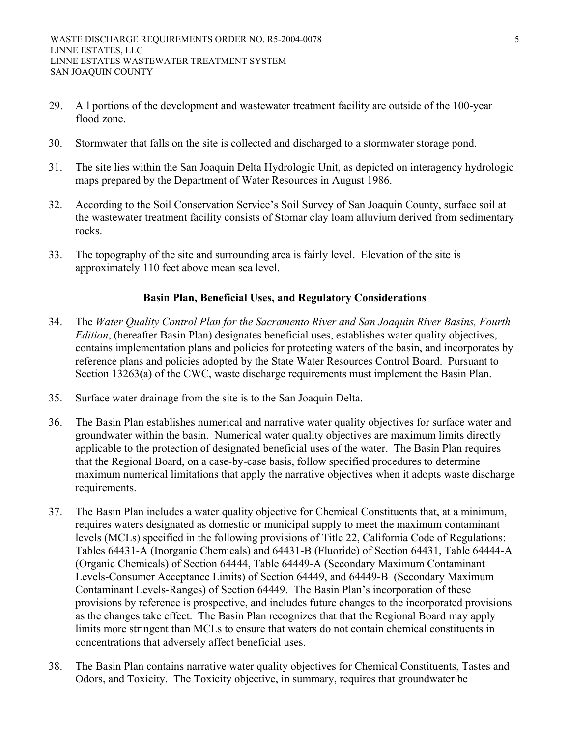- 29. All portions of the development and wastewater treatment facility are outside of the 100-year flood zone.
- 30. Stormwater that falls on the site is collected and discharged to a stormwater storage pond.
- 31. The site lies within the San Joaquin Delta Hydrologic Unit, as depicted on interagency hydrologic maps prepared by the Department of Water Resources in August 1986.
- 32. According to the Soil Conservation Service's Soil Survey of San Joaquin County, surface soil at the wastewater treatment facility consists of Stomar clay loam alluvium derived from sedimentary rocks.
- 33. The topography of the site and surrounding area is fairly level. Elevation of the site is approximately 110 feet above mean sea level.

## **Basin Plan, Beneficial Uses, and Regulatory Considerations**

- 34. The *Water Quality Control Plan for the Sacramento River and San Joaquin River Basins, Fourth Edition*, (hereafter Basin Plan) designates beneficial uses, establishes water quality objectives, contains implementation plans and policies for protecting waters of the basin, and incorporates by reference plans and policies adopted by the State Water Resources Control Board. Pursuant to Section 13263(a) of the CWC, waste discharge requirements must implement the Basin Plan.
- 35. Surface water drainage from the site is to the San Joaquin Delta.
- 36. The Basin Plan establishes numerical and narrative water quality objectives for surface water and groundwater within the basin. Numerical water quality objectives are maximum limits directly applicable to the protection of designated beneficial uses of the water. The Basin Plan requires that the Regional Board, on a case-by-case basis, follow specified procedures to determine maximum numerical limitations that apply the narrative objectives when it adopts waste discharge requirements.
- 37. The Basin Plan includes a water quality objective for Chemical Constituents that, at a minimum, requires waters designated as domestic or municipal supply to meet the maximum contaminant levels (MCLs) specified in the following provisions of Title 22, California Code of Regulations: Tables 64431-A (Inorganic Chemicals) and 64431-B (Fluoride) of Section 64431, Table 64444-A (Organic Chemicals) of Section 64444, Table 64449-A (Secondary Maximum Contaminant Levels-Consumer Acceptance Limits) of Section 64449, and 64449-B (Secondary Maximum Contaminant Levels-Ranges) of Section 64449. The Basin Plan's incorporation of these provisions by reference is prospective, and includes future changes to the incorporated provisions as the changes take effect. The Basin Plan recognizes that that the Regional Board may apply limits more stringent than MCLs to ensure that waters do not contain chemical constituents in concentrations that adversely affect beneficial uses.
- 38. The Basin Plan contains narrative water quality objectives for Chemical Constituents, Tastes and Odors, and Toxicity. The Toxicity objective, in summary, requires that groundwater be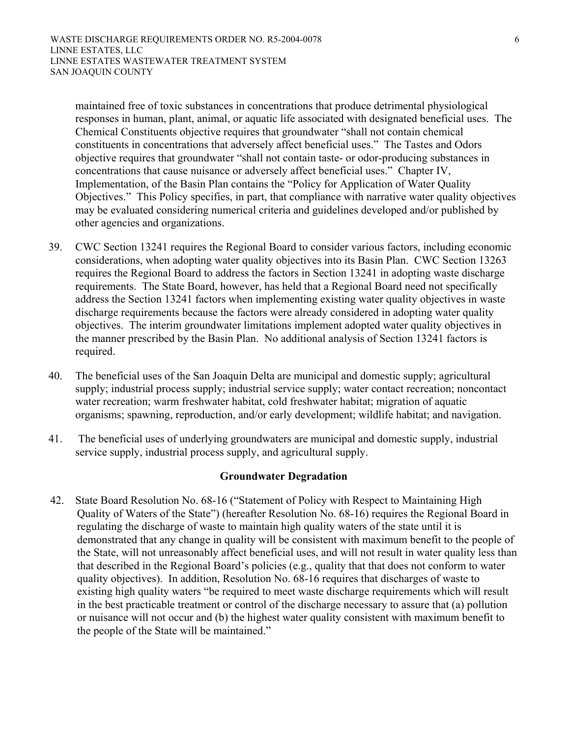maintained free of toxic substances in concentrations that produce detrimental physiological responses in human, plant, animal, or aquatic life associated with designated beneficial uses. The Chemical Constituents objective requires that groundwater "shall not contain chemical constituents in concentrations that adversely affect beneficial uses." The Tastes and Odors objective requires that groundwater "shall not contain taste- or odor-producing substances in concentrations that cause nuisance or adversely affect beneficial uses." Chapter IV, Implementation, of the Basin Plan contains the "Policy for Application of Water Quality Objectives." This Policy specifies, in part, that compliance with narrative water quality objectives may be evaluated considering numerical criteria and guidelines developed and/or published by other agencies and organizations.

- 39. CWC Section 13241 requires the Regional Board to consider various factors, including economic considerations, when adopting water quality objectives into its Basin Plan. CWC Section 13263 requires the Regional Board to address the factors in Section 13241 in adopting waste discharge requirements. The State Board, however, has held that a Regional Board need not specifically address the Section 13241 factors when implementing existing water quality objectives in waste discharge requirements because the factors were already considered in adopting water quality objectives. The interim groundwater limitations implement adopted water quality objectives in the manner prescribed by the Basin Plan. No additional analysis of Section 13241 factors is required.
- 40. The beneficial uses of the San Joaquin Delta are municipal and domestic supply; agricultural supply; industrial process supply; industrial service supply; water contact recreation; noncontact water recreation; warm freshwater habitat, cold freshwater habitat; migration of aquatic organisms; spawning, reproduction, and/or early development; wildlife habitat; and navigation.
- 41. The beneficial uses of underlying groundwaters are municipal and domestic supply, industrial service supply, industrial process supply, and agricultural supply.

#### **Groundwater Degradation**

42. State Board Resolution No. 68-16 ("Statement of Policy with Respect to Maintaining High Quality of Waters of the State") (hereafter Resolution No. 68-16) requires the Regional Board in regulating the discharge of waste to maintain high quality waters of the state until it is demonstrated that any change in quality will be consistent with maximum benefit to the people of the State, will not unreasonably affect beneficial uses, and will not result in water quality less than that described in the Regional Board's policies (e.g., quality that that does not conform to water quality objectives). In addition, Resolution No. 68-16 requires that discharges of waste to existing high quality waters "be required to meet waste discharge requirements which will result in the best practicable treatment or control of the discharge necessary to assure that (a) pollution or nuisance will not occur and (b) the highest water quality consistent with maximum benefit to the people of the State will be maintained."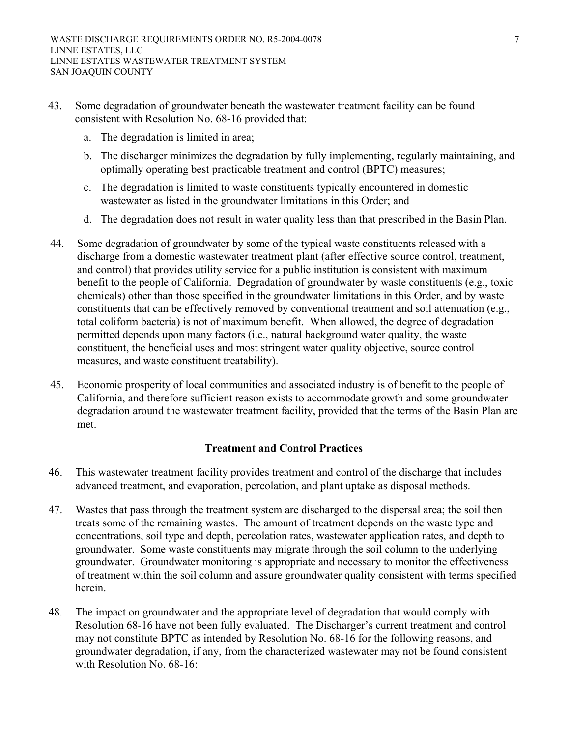- 43. Some degradation of groundwater beneath the wastewater treatment facility can be found consistent with Resolution No. 68-16 provided that:
	- a. The degradation is limited in area;
	- b. The discharger minimizes the degradation by fully implementing, regularly maintaining, and optimally operating best practicable treatment and control (BPTC) measures;
	- c. The degradation is limited to waste constituents typically encountered in domestic wastewater as listed in the groundwater limitations in this Order; and
	- d. The degradation does not result in water quality less than that prescribed in the Basin Plan.
- 44. Some degradation of groundwater by some of the typical waste constituents released with a discharge from a domestic wastewater treatment plant (after effective source control, treatment, and control) that provides utility service for a public institution is consistent with maximum benefit to the people of California. Degradation of groundwater by waste constituents (e.g., toxic chemicals) other than those specified in the groundwater limitations in this Order, and by waste constituents that can be effectively removed by conventional treatment and soil attenuation (e.g., total coliform bacteria) is not of maximum benefit. When allowed, the degree of degradation permitted depends upon many factors (i.e., natural background water quality, the waste constituent, the beneficial uses and most stringent water quality objective, source control measures, and waste constituent treatability).
- 45. Economic prosperity of local communities and associated industry is of benefit to the people of California, and therefore sufficient reason exists to accommodate growth and some groundwater degradation around the wastewater treatment facility, provided that the terms of the Basin Plan are met.

#### **Treatment and Control Practices**

- 46. This wastewater treatment facility provides treatment and control of the discharge that includes advanced treatment, and evaporation, percolation, and plant uptake as disposal methods.
- 47. Wastes that pass through the treatment system are discharged to the dispersal area; the soil then treats some of the remaining wastes. The amount of treatment depends on the waste type and concentrations, soil type and depth, percolation rates, wastewater application rates, and depth to groundwater. Some waste constituents may migrate through the soil column to the underlying groundwater. Groundwater monitoring is appropriate and necessary to monitor the effectiveness of treatment within the soil column and assure groundwater quality consistent with terms specified herein.
- 48. The impact on groundwater and the appropriate level of degradation that would comply with Resolution 68-16 have not been fully evaluated. The Discharger's current treatment and control may not constitute BPTC as intended by Resolution No. 68-16 for the following reasons, and groundwater degradation, if any, from the characterized wastewater may not be found consistent with Resolution No. 68-16: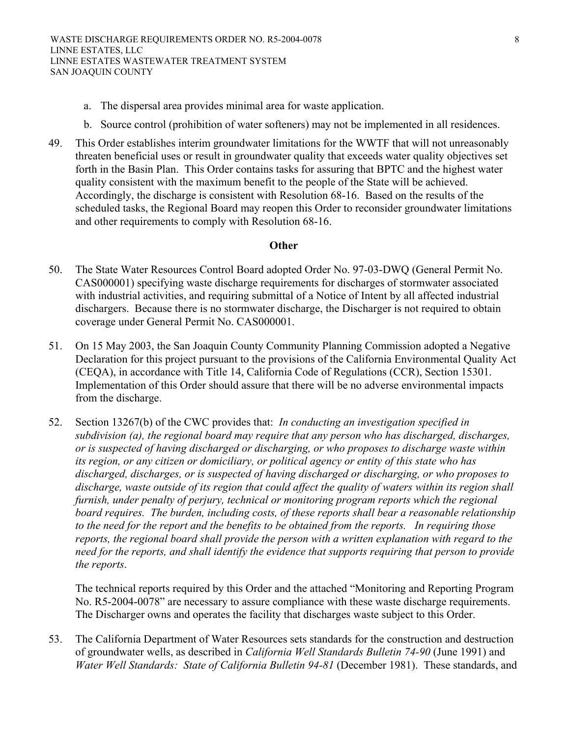- 
- a. The dispersal area provides minimal area for waste application.
- b. Source control (prohibition of water softeners) may not be implemented in all residences.
- 49. This Order establishes interim groundwater limitations for the WWTF that will not unreasonably threaten beneficial uses or result in groundwater quality that exceeds water quality objectives set forth in the Basin Plan. This Order contains tasks for assuring that BPTC and the highest water quality consistent with the maximum benefit to the people of the State will be achieved. Accordingly, the discharge is consistent with Resolution 68-16. Based on the results of the scheduled tasks, the Regional Board may reopen this Order to reconsider groundwater limitations and other requirements to comply with Resolution 68-16.

#### **Other**

- 50. The State Water Resources Control Board adopted Order No. 97-03-DWQ (General Permit No. CAS000001) specifying waste discharge requirements for discharges of stormwater associated with industrial activities, and requiring submittal of a Notice of Intent by all affected industrial dischargers. Because there is no stormwater discharge, the Discharger is not required to obtain coverage under General Permit No. CAS000001.
- 51. On 15 May 2003, the San Joaquin County Community Planning Commission adopted a Negative Declaration for this project pursuant to the provisions of the California Environmental Quality Act (CEQA), in accordance with Title 14, California Code of Regulations (CCR), Section 15301. Implementation of this Order should assure that there will be no adverse environmental impacts from the discharge.
- 52. Section 13267(b) of the CWC provides that: *In conducting an investigation specified in subdivision (a), the regional board may require that any person who has discharged, discharges, or is suspected of having discharged or discharging, or who proposes to discharge waste within its region, or any citizen or domiciliary, or political agency or entity of this state who has discharged, discharges, or is suspected of having discharged or discharging, or who proposes to discharge, waste outside of its region that could affect the quality of waters within its region shall furnish, under penalty of perjury, technical or monitoring program reports which the regional board requires. The burden, including costs, of these reports shall bear a reasonable relationship to the need for the report and the benefits to be obtained from the reports. In requiring those reports, the regional board shall provide the person with a written explanation with regard to the need for the reports, and shall identify the evidence that supports requiring that person to provide the reports*.

The technical reports required by this Order and the attached "Monitoring and Reporting Program No. R5-2004-0078" are necessary to assure compliance with these waste discharge requirements. The Discharger owns and operates the facility that discharges waste subject to this Order.

53. The California Department of Water Resources sets standards for the construction and destruction of groundwater wells, as described in *California Well Standards Bulletin 74-90* (June 1991) and *Water Well Standards: State of California Bulletin 94-81* (December 1981). These standards, and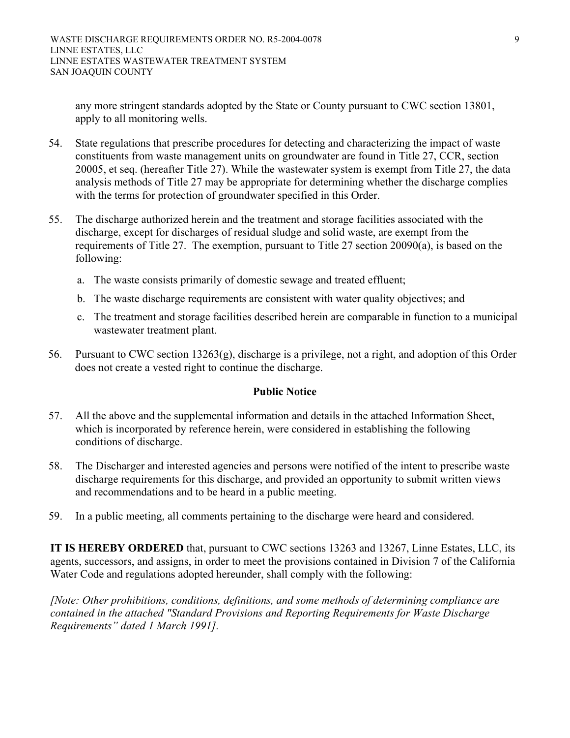any more stringent standards adopted by the State or County pursuant to CWC section 13801, apply to all monitoring wells.

- 54. State regulations that prescribe procedures for detecting and characterizing the impact of waste constituents from waste management units on groundwater are found in Title 27, CCR, section 20005, et seq. (hereafter Title 27). While the wastewater system is exempt from Title 27, the data analysis methods of Title 27 may be appropriate for determining whether the discharge complies with the terms for protection of groundwater specified in this Order.
- 55. The discharge authorized herein and the treatment and storage facilities associated with the discharge, except for discharges of residual sludge and solid waste, are exempt from the requirements of Title 27. The exemption, pursuant to Title 27 section 20090(a), is based on the following:
	- a. The waste consists primarily of domestic sewage and treated effluent;
	- b. The waste discharge requirements are consistent with water quality objectives; and
	- c. The treatment and storage facilities described herein are comparable in function to a municipal wastewater treatment plant.
- 56. Pursuant to CWC section 13263(g), discharge is a privilege, not a right, and adoption of this Order does not create a vested right to continue the discharge.

#### **Public Notice**

- 57. All the above and the supplemental information and details in the attached Information Sheet, which is incorporated by reference herein, were considered in establishing the following conditions of discharge.
- 58. The Discharger and interested agencies and persons were notified of the intent to prescribe waste discharge requirements for this discharge, and provided an opportunity to submit written views and recommendations and to be heard in a public meeting.
- 59. In a public meeting, all comments pertaining to the discharge were heard and considered.

**IT IS HEREBY ORDERED** that, pursuant to CWC sections 13263 and 13267, Linne Estates, LLC, its agents, successors, and assigns, in order to meet the provisions contained in Division 7 of the California Water Code and regulations adopted hereunder, shall comply with the following:

*[Note: Other prohibitions, conditions, definitions, and some methods of determining compliance are contained in the attached "Standard Provisions and Reporting Requirements for Waste Discharge Requirements" dated 1 March 1991].*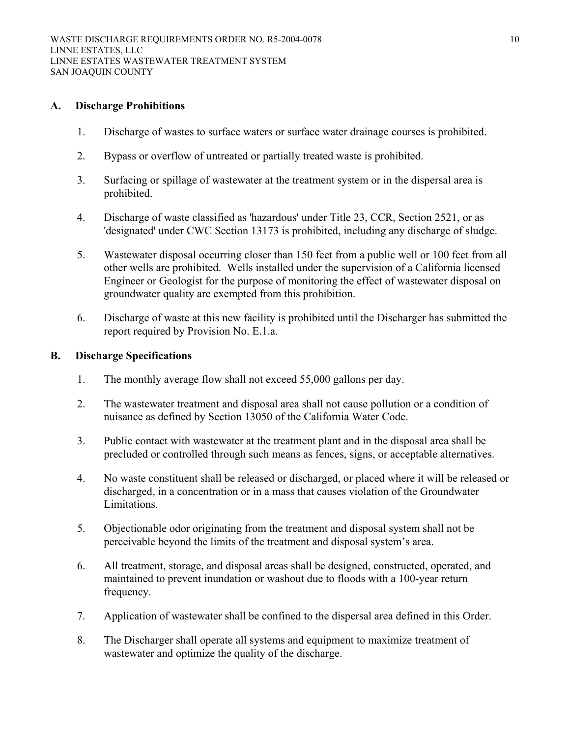#### **A. Discharge Prohibitions**

- 1. Discharge of wastes to surface waters or surface water drainage courses is prohibited.
- 2. Bypass or overflow of untreated or partially treated waste is prohibited.
- 3. Surfacing or spillage of wastewater at the treatment system or in the dispersal area is prohibited.
- 4. Discharge of waste classified as 'hazardous' under Title 23, CCR, Section 2521, or as 'designated' under CWC Section 13173 is prohibited, including any discharge of sludge.
- 5. Wastewater disposal occurring closer than 150 feet from a public well or 100 feet from all other wells are prohibited. Wells installed under the supervision of a California licensed Engineer or Geologist for the purpose of monitoring the effect of wastewater disposal on groundwater quality are exempted from this prohibition.
- 6. Discharge of waste at this new facility is prohibited until the Discharger has submitted the report required by Provision No. E.1.a.

#### **B. Discharge Specifications**

- 1. The monthly average flow shall not exceed 55,000 gallons per day.
- 2. The wastewater treatment and disposal area shall not cause pollution or a condition of nuisance as defined by Section 13050 of the California Water Code.
- 3. Public contact with wastewater at the treatment plant and in the disposal area shall be precluded or controlled through such means as fences, signs, or acceptable alternatives.
- 4. No waste constituent shall be released or discharged, or placed where it will be released or discharged, in a concentration or in a mass that causes violation of the Groundwater Limitations.
- 5. Objectionable odor originating from the treatment and disposal system shall not be perceivable beyond the limits of the treatment and disposal system's area.
- 6. All treatment, storage, and disposal areas shall be designed, constructed, operated, and maintained to prevent inundation or washout due to floods with a 100-year return frequency.
- 7. Application of wastewater shall be confined to the dispersal area defined in this Order.
- 8. The Discharger shall operate all systems and equipment to maximize treatment of wastewater and optimize the quality of the discharge.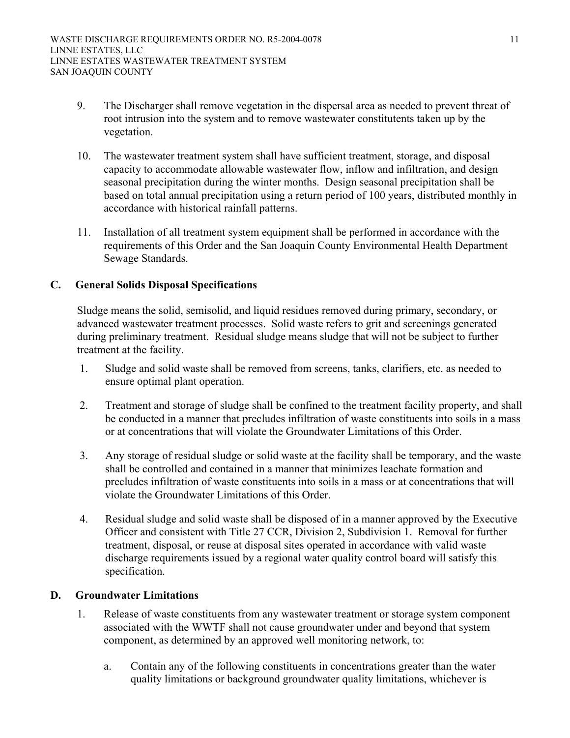- 9. The Discharger shall remove vegetation in the dispersal area as needed to prevent threat of root intrusion into the system and to remove wastewater constitutents taken up by the vegetation.
- 10. The wastewater treatment system shall have sufficient treatment, storage, and disposal capacity to accommodate allowable wastewater flow, inflow and infiltration, and design seasonal precipitation during the winter months. Design seasonal precipitation shall be based on total annual precipitation using a return period of 100 years, distributed monthly in accordance with historical rainfall patterns.
- 11. Installation of all treatment system equipment shall be performed in accordance with the requirements of this Order and the San Joaquin County Environmental Health Department Sewage Standards.

## **C. General Solids Disposal Specifications**

Sludge means the solid, semisolid, and liquid residues removed during primary, secondary, or advanced wastewater treatment processes. Solid waste refers to grit and screenings generated during preliminary treatment. Residual sludge means sludge that will not be subject to further treatment at the facility.

- 1. Sludge and solid waste shall be removed from screens, tanks, clarifiers, etc. as needed to ensure optimal plant operation.
- 2. Treatment and storage of sludge shall be confined to the treatment facility property, and shall be conducted in a manner that precludes infiltration of waste constituents into soils in a mass or at concentrations that will violate the Groundwater Limitations of this Order.
- 3. Any storage of residual sludge or solid waste at the facility shall be temporary, and the waste shall be controlled and contained in a manner that minimizes leachate formation and precludes infiltration of waste constituents into soils in a mass or at concentrations that will violate the Groundwater Limitations of this Order.
- 4. Residual sludge and solid waste shall be disposed of in a manner approved by the Executive Officer and consistent with Title 27 CCR, Division 2, Subdivision 1. Removal for further treatment, disposal, or reuse at disposal sites operated in accordance with valid waste discharge requirements issued by a regional water quality control board will satisfy this specification.

#### **D. Groundwater Limitations**

- 1. Release of waste constituents from any wastewater treatment or storage system component associated with the WWTF shall not cause groundwater under and beyond that system component, as determined by an approved well monitoring network, to:
	- a. Contain any of the following constituents in concentrations greater than the water quality limitations or background groundwater quality limitations, whichever is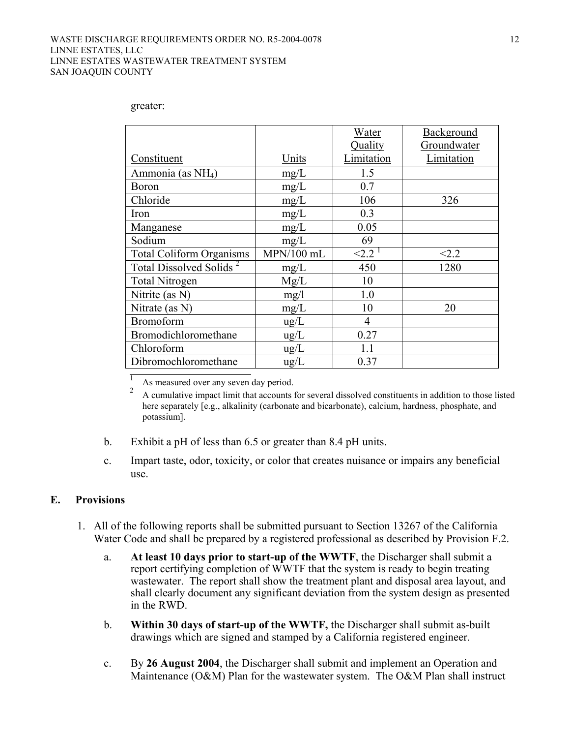#### WASTE DISCHARGE REQUIREMENTS ORDER NO. R5-2004-0078 LINNE ESTATES, LLC LINNE ESTATES WASTEWATER TREATMENT SYSTEM SAN JOAQUIN COUNTY

|                                     |               | Water      | Background  |
|-------------------------------------|---------------|------------|-------------|
|                                     |               | Quality    | Groundwater |
| Constituent                         | Units         | Limitation | Limitation  |
| Ammonia (as NH <sub>4</sub> )       | mg/L          | 1.5        |             |
| <b>Boron</b>                        | mg/L          | 0.7        |             |
| Chloride                            | mg/L          | 106        | 326         |
| Iron                                | mg/L          | 0.3        |             |
| Manganese                           | mg/L          | 0.05       |             |
| Sodium                              | mg/L          | 69         |             |
| <b>Total Coliform Organisms</b>     | MPN/100 mL    | ${<}2.21$  | < 2.2       |
| Total Dissolved Solids <sup>2</sup> | mg/L          | 450        | 1280        |
| <b>Total Nitrogen</b>               | Mg/L          | 10         |             |
| Nitrite (as N)                      | mg/1          | 1.0        |             |
| Nitrate (as N)                      | mg/L          | 10         | 20          |
| <b>Bromoform</b>                    | $\text{ug/L}$ | 4          |             |
| Bromodichloromethane                | $\text{ug/L}$ | 0.27       |             |
| Chloroform                          | ug/L          | 1.1        |             |
| Dibromochloromethane                | $\text{ug/L}$ | 0.37       |             |

greater:

 $\frac{1}{2}$  As measured over any seven day period.

<sup>2</sup> A cumulative impact limit that accounts for several dissolved constituents in addition to those listed here separately [e.g., alkalinity (carbonate and bicarbonate), calcium, hardness, phosphate, and potassium].

- b. Exhibit a pH of less than 6.5 or greater than 8.4 pH units.
- c. Impart taste, odor, toxicity, or color that creates nuisance or impairs any beneficial use.

#### **E. Provisions**

- 1. All of the following reports shall be submitted pursuant to Section 13267 of the California Water Code and shall be prepared by a registered professional as described by Provision F.2.
	- a. **At least 10 days prior to start-up of the WWTF**, the Discharger shall submit a report certifying completion of WWTF that the system is ready to begin treating wastewater. The report shall show the treatment plant and disposal area layout, and shall clearly document any significant deviation from the system design as presented in the RWD.
	- b. **Within 30 days of start-up of the WWTF,** the Discharger shall submit as-built drawings which are signed and stamped by a California registered engineer.
	- c. By **26 August 2004**, the Discharger shall submit and implement an Operation and Maintenance (O&M) Plan for the wastewater system. The O&M Plan shall instruct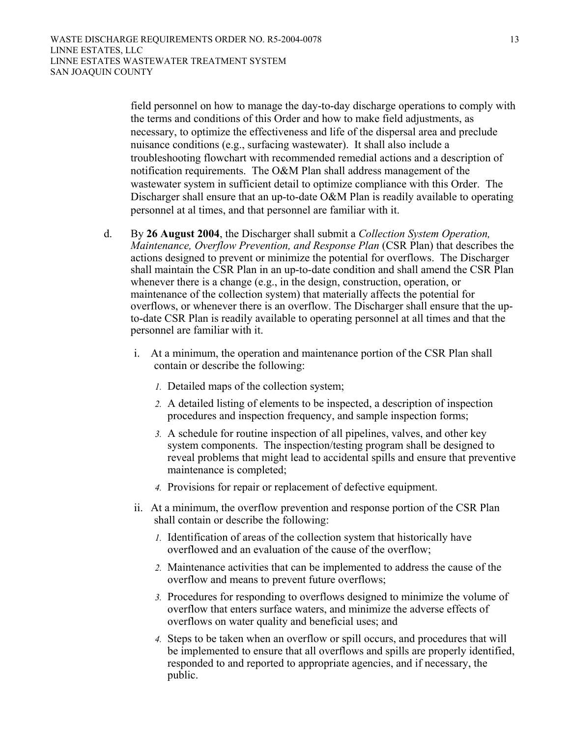field personnel on how to manage the day-to-day discharge operations to comply with the terms and conditions of this Order and how to make field adjustments, as necessary, to optimize the effectiveness and life of the dispersal area and preclude nuisance conditions (e.g., surfacing wastewater). It shall also include a troubleshooting flowchart with recommended remedial actions and a description of notification requirements. The O&M Plan shall address management of the wastewater system in sufficient detail to optimize compliance with this Order. The Discharger shall ensure that an up-to-date O&M Plan is readily available to operating personnel at al times, and that personnel are familiar with it.

- d. By **26 August 2004**, the Discharger shall submit a *Collection System Operation, Maintenance, Overflow Prevention, and Response Plan* (CSR Plan) that describes the actions designed to prevent or minimize the potential for overflows. The Discharger shall maintain the CSR Plan in an up-to-date condition and shall amend the CSR Plan whenever there is a change (e.g., in the design, construction, operation, or maintenance of the collection system) that materially affects the potential for overflows, or whenever there is an overflow. The Discharger shall ensure that the upto-date CSR Plan is readily available to operating personnel at all times and that the personnel are familiar with it.
	- i. At a minimum, the operation and maintenance portion of the CSR Plan shall contain or describe the following:
		- *1.* Detailed maps of the collection system;
		- *2.* A detailed listing of elements to be inspected, a description of inspection procedures and inspection frequency, and sample inspection forms;
		- *3.* A schedule for routine inspection of all pipelines, valves, and other key system components. The inspection/testing program shall be designed to reveal problems that might lead to accidental spills and ensure that preventive maintenance is completed;
		- *4.* Provisions for repair or replacement of defective equipment.
	- ii. At a minimum, the overflow prevention and response portion of the CSR Plan shall contain or describe the following:
		- *1.* Identification of areas of the collection system that historically have overflowed and an evaluation of the cause of the overflow;
		- *2.* Maintenance activities that can be implemented to address the cause of the overflow and means to prevent future overflows;
		- *3.* Procedures for responding to overflows designed to minimize the volume of overflow that enters surface waters, and minimize the adverse effects of overflows on water quality and beneficial uses; and
		- *4.* Steps to be taken when an overflow or spill occurs, and procedures that will be implemented to ensure that all overflows and spills are properly identified, responded to and reported to appropriate agencies, and if necessary, the public.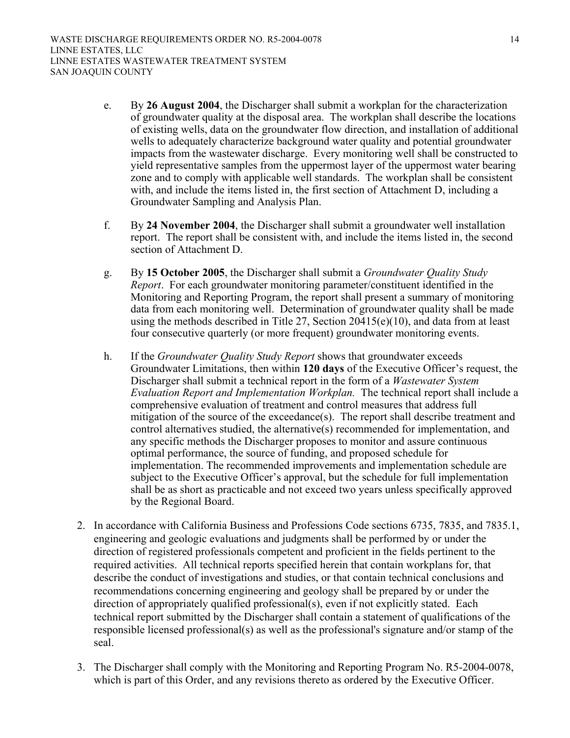- e. By **26 August 2004**, the Discharger shall submit a workplan for the characterization of groundwater quality at the disposal area. The workplan shall describe the locations of existing wells, data on the groundwater flow direction, and installation of additional wells to adequately characterize background water quality and potential groundwater impacts from the wastewater discharge. Every monitoring well shall be constructed to yield representative samples from the uppermost layer of the uppermost water bearing zone and to comply with applicable well standards. The workplan shall be consistent with, and include the items listed in, the first section of Attachment D, including a Groundwater Sampling and Analysis Plan.
- f. By **24 November 2004**, the Discharger shall submit a groundwater well installation report. The report shall be consistent with, and include the items listed in, the second section of Attachment D.
- g. By **15 October 2005**, the Discharger shall submit a *Groundwater Quality Study Report*. For each groundwater monitoring parameter/constituent identified in the Monitoring and Reporting Program, the report shall present a summary of monitoring data from each monitoring well. Determination of groundwater quality shall be made using the methods described in Title 27, Section 20415(e)(10), and data from at least four consecutive quarterly (or more frequent) groundwater monitoring events.
- h. If the *Groundwater Quality Study Report* shows that groundwater exceeds Groundwater Limitations, then within **120 days** of the Executive Officer's request, the Discharger shall submit a technical report in the form of a *Wastewater System Evaluation Report and Implementation Workplan.* The technical report shall include a comprehensive evaluation of treatment and control measures that address full mitigation of the source of the exceedance(s). The report shall describe treatment and control alternatives studied, the alternative(s) recommended for implementation, and any specific methods the Discharger proposes to monitor and assure continuous optimal performance, the source of funding, and proposed schedule for implementation. The recommended improvements and implementation schedule are subject to the Executive Officer's approval, but the schedule for full implementation shall be as short as practicable and not exceed two years unless specifically approved by the Regional Board.
- 2. In accordance with California Business and Professions Code sections 6735, 7835, and 7835.1, engineering and geologic evaluations and judgments shall be performed by or under the direction of registered professionals competent and proficient in the fields pertinent to the required activities. All technical reports specified herein that contain workplans for, that describe the conduct of investigations and studies, or that contain technical conclusions and recommendations concerning engineering and geology shall be prepared by or under the direction of appropriately qualified professional(s), even if not explicitly stated. Each technical report submitted by the Discharger shall contain a statement of qualifications of the responsible licensed professional(s) as well as the professional's signature and/or stamp of the seal.
- 3. The Discharger shall comply with the Monitoring and Reporting Program No. R5-2004-0078, which is part of this Order, and any revisions thereto as ordered by the Executive Officer.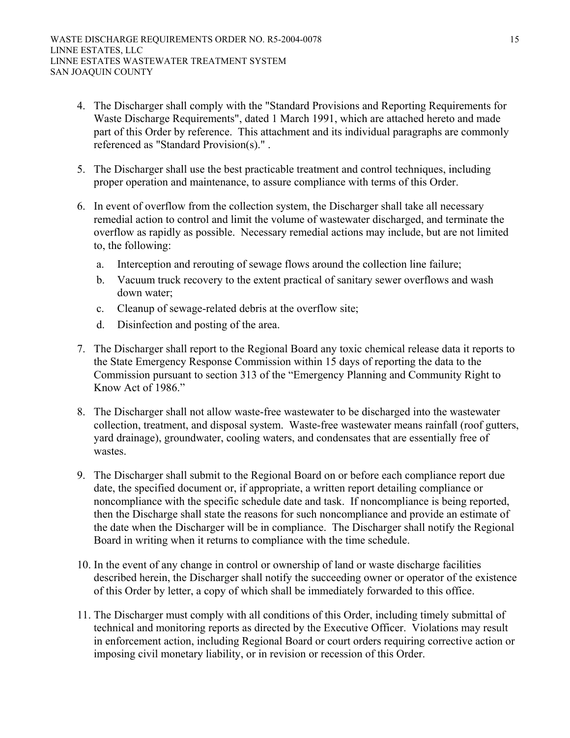- 4. The Discharger shall comply with the "Standard Provisions and Reporting Requirements for Waste Discharge Requirements", dated 1 March 1991, which are attached hereto and made part of this Order by reference. This attachment and its individual paragraphs are commonly referenced as "Standard Provision(s)." .
- 5. The Discharger shall use the best practicable treatment and control techniques, including proper operation and maintenance, to assure compliance with terms of this Order.
- 6. In event of overflow from the collection system, the Discharger shall take all necessary remedial action to control and limit the volume of wastewater discharged, and terminate the overflow as rapidly as possible. Necessary remedial actions may include, but are not limited to, the following:
	- a. Interception and rerouting of sewage flows around the collection line failure;
	- b. Vacuum truck recovery to the extent practical of sanitary sewer overflows and wash down water;
	- c. Cleanup of sewage-related debris at the overflow site;
	- d. Disinfection and posting of the area.
- 7. The Discharger shall report to the Regional Board any toxic chemical release data it reports to the State Emergency Response Commission within 15 days of reporting the data to the Commission pursuant to section 313 of the "Emergency Planning and Community Right to Know Act of 1986."
- 8. The Discharger shall not allow waste-free wastewater to be discharged into the wastewater collection, treatment, and disposal system. Waste-free wastewater means rainfall (roof gutters, yard drainage), groundwater, cooling waters, and condensates that are essentially free of wastes.
- 9. The Discharger shall submit to the Regional Board on or before each compliance report due date, the specified document or, if appropriate, a written report detailing compliance or noncompliance with the specific schedule date and task. If noncompliance is being reported, then the Discharge shall state the reasons for such noncompliance and provide an estimate of the date when the Discharger will be in compliance. The Discharger shall notify the Regional Board in writing when it returns to compliance with the time schedule.
- 10. In the event of any change in control or ownership of land or waste discharge facilities described herein, the Discharger shall notify the succeeding owner or operator of the existence of this Order by letter, a copy of which shall be immediately forwarded to this office.
- 11. The Discharger must comply with all conditions of this Order, including timely submittal of technical and monitoring reports as directed by the Executive Officer. Violations may result in enforcement action, including Regional Board or court orders requiring corrective action or imposing civil monetary liability, or in revision or recession of this Order.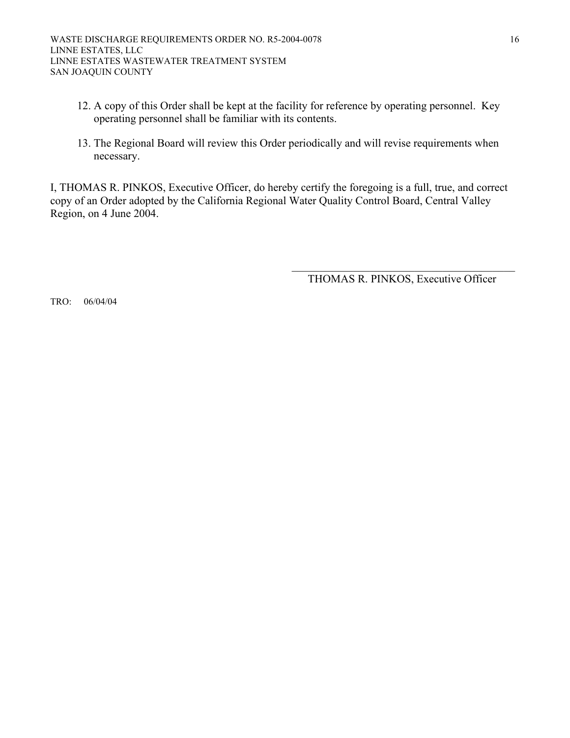- 12. A copy of this Order shall be kept at the facility for reference by operating personnel. Key operating personnel shall be familiar with its contents.
- 13. The Regional Board will review this Order periodically and will revise requirements when necessary.

I, THOMAS R. PINKOS, Executive Officer, do hereby certify the foregoing is a full, true, and correct copy of an Order adopted by the California Regional Water Quality Control Board, Central Valley Region, on 4 June 2004.

> \_\_\_\_\_\_\_\_\_\_\_\_\_\_\_\_\_\_\_\_\_\_\_\_\_\_\_\_\_\_\_\_\_\_\_\_\_\_\_\_ THOMAS R. PINKOS, Executive Officer

TRO: 06/04/04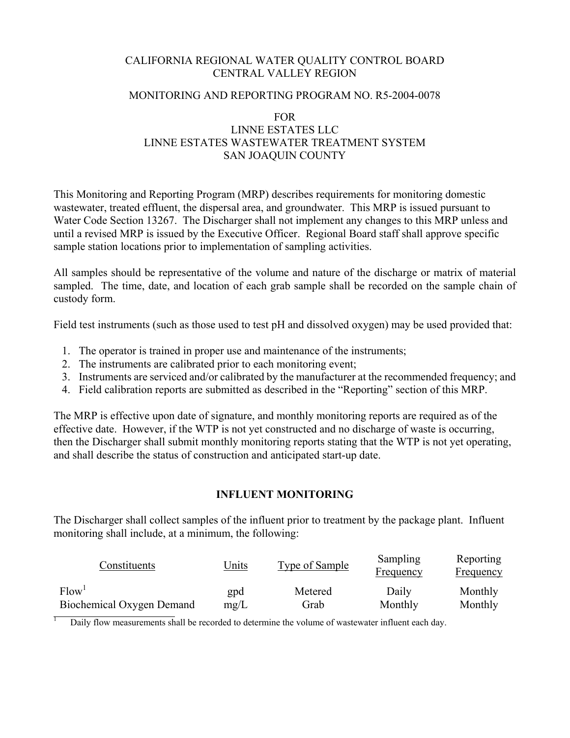#### CALIFORNIA REGIONAL WATER QUALITY CONTROL BOARD CENTRAL VALLEY REGION

#### MONITORING AND REPORTING PROGRAM NO. R5-2004-0078

### FOR LINNE ESTATES LLC LINNE ESTATES WASTEWATER TREATMENT SYSTEM SAN JOAQUIN COUNTY

This Monitoring and Reporting Program (MRP) describes requirements for monitoring domestic wastewater, treated effluent, the dispersal area, and groundwater. This MRP is issued pursuant to Water Code Section 13267. The Discharger shall not implement any changes to this MRP unless and until a revised MRP is issued by the Executive Officer. Regional Board staff shall approve specific sample station locations prior to implementation of sampling activities.

All samples should be representative of the volume and nature of the discharge or matrix of material sampled. The time, date, and location of each grab sample shall be recorded on the sample chain of custody form.

Field test instruments (such as those used to test pH and dissolved oxygen) may be used provided that:

- 1. The operator is trained in proper use and maintenance of the instruments;
- 2. The instruments are calibrated prior to each monitoring event;
- 3. Instruments are serviced and/or calibrated by the manufacturer at the recommended frequency; and
- 4. Field calibration reports are submitted as described in the "Reporting" section of this MRP.

The MRP is effective upon date of signature, and monthly monitoring reports are required as of the effective date. However, if the WTP is not yet constructed and no discharge of waste is occurring, then the Discharger shall submit monthly monitoring reports stating that the WTP is not yet operating, and shall describe the status of construction and anticipated start-up date.

## **INFLUENT MONITORING**

The Discharger shall collect samples of the influent prior to treatment by the package plant. Influent monitoring shall include, at a minimum, the following:

| Constituents              | Units | Type of Sample | Sampling<br>Frequency | Reporting<br><b>Frequency</b> |
|---------------------------|-------|----------------|-----------------------|-------------------------------|
| Flow <sup>1</sup>         | gpd   | Metered        | Daily                 | Monthly                       |
| Biochemical Oxygen Demand | mg/L  | Grab           | Monthly               | Monthly                       |

1 Daily flow measurements shall be recorded to determine the volume of wastewater influent each day.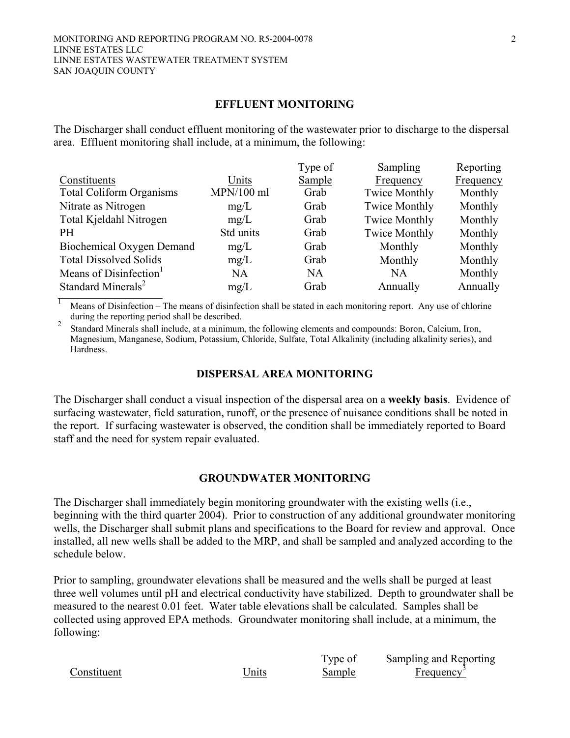#### **EFFLUENT MONITORING**

The Discharger shall conduct effluent monitoring of the wastewater prior to discharge to the dispersal area. Effluent monitoring shall include, at a minimum, the following:

|                                    |              | Type of | Sampling             | Reporting |
|------------------------------------|--------------|---------|----------------------|-----------|
| Constituents                       | Units        | Sample  | Frequency            | Frequency |
| <b>Total Coliform Organisms</b>    | $MPN/100$ ml | Grab    | <b>Twice Monthly</b> | Monthly   |
| Nitrate as Nitrogen                | mg/L         | Grab    | <b>Twice Monthly</b> | Monthly   |
| Total Kjeldahl Nitrogen            | mg/L         | Grab    | <b>Twice Monthly</b> | Monthly   |
| <b>PH</b>                          | Std units    | Grab    | <b>Twice Monthly</b> | Monthly   |
| Biochemical Oxygen Demand          | mg/L         | Grab    | Monthly              | Monthly   |
| <b>Total Dissolved Solids</b>      | mg/L         | Grab    | Monthly              | Monthly   |
| Means of Disinfection <sup>1</sup> | <b>NA</b>    | NA      | <b>NA</b>            | Monthly   |
| Standard Minerals <sup>2</sup>     | mg/L         | Grab    | Annually             | Annually  |

 $\overline{1}$  Means of Disinfection – The means of disinfection shall be stated in each monitoring report. Any use of chlorine during the reporting period shall be described.

<sup>2</sup> Standard Minerals shall include, at a minimum, the following elements and compounds: Boron, Calcium, Iron, Magnesium, Manganese, Sodium, Potassium, Chloride, Sulfate, Total Alkalinity (including alkalinity series), and Hardness.

#### **DISPERSAL AREA MONITORING**

The Discharger shall conduct a visual inspection of the dispersal area on a **weekly basis**. Evidence of surfacing wastewater, field saturation, runoff, or the presence of nuisance conditions shall be noted in the report. If surfacing wastewater is observed, the condition shall be immediately reported to Board staff and the need for system repair evaluated.

#### **GROUNDWATER MONITORING**

The Discharger shall immediately begin monitoring groundwater with the existing wells (i.e., beginning with the third quarter 2004). Prior to construction of any additional groundwater monitoring wells, the Discharger shall submit plans and specifications to the Board for review and approval. Once installed, all new wells shall be added to the MRP, and shall be sampled and analyzed according to the schedule below.

Prior to sampling, groundwater elevations shall be measured and the wells shall be purged at least three well volumes until pH and electrical conductivity have stabilized. Depth to groundwater shall be measured to the nearest 0.01 feet. Water table elevations shall be calculated. Samples shall be collected using approved EPA methods. Groundwater monitoring shall include, at a minimum, the following:

Constituent Units

Type of Sample

Sampling and Reporting Frequency<sup>3</sup>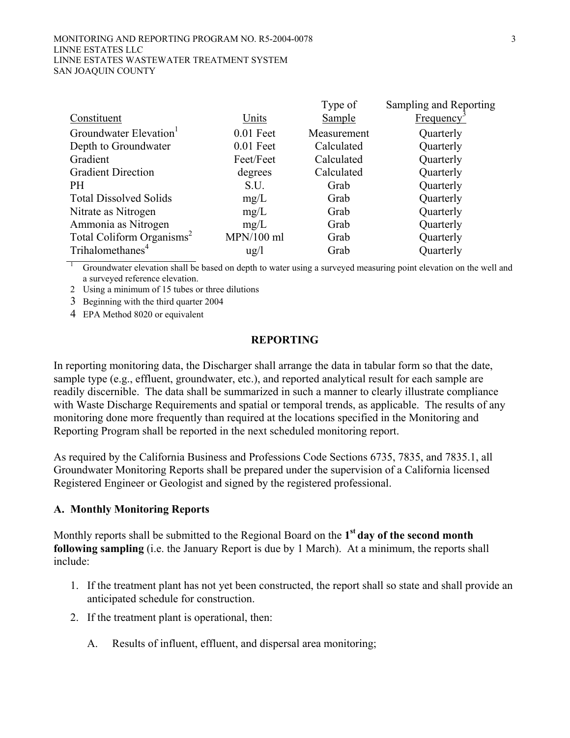|                                       |                 | Type of       | Sampling and Reporting |
|---------------------------------------|-----------------|---------------|------------------------|
| Constituent                           | Units           | <b>Sample</b> | <b>Frequency</b>       |
| Groundwater Elevation <sup>1</sup>    | $0.01$ Feet     | Measurement   | Quarterly              |
| Depth to Groundwater                  | $0.01$ Feet     | Calculated    | Quarterly              |
| Gradient                              | Feet/Feet       | Calculated    | Quarterly              |
| <b>Gradient Direction</b>             | degrees         | Calculated    | Quarterly              |
| <b>PH</b>                             | S.U.            | Grab          | Quarterly              |
| <b>Total Dissolved Solids</b>         | mg/L            | Grab          | Quarterly              |
| Nitrate as Nitrogen                   | mg/L            | Grab          | Quarterly              |
| Ammonia as Nitrogen                   | mg/L            | Grab          | Quarterly              |
| Total Coliform Organisms <sup>2</sup> | $MPN/100$ ml    | Grab          | Quarterly              |
| Trihalomethanes <sup>4</sup>          | $\frac{u g}{l}$ | Grab          | Quarterly              |

1 Groundwater elevation shall be based on depth to water using a surveyed measuring point elevation on the well and a surveyed reference elevation.

2 Using a minimum of 15 tubes or three dilutions

3 Beginning with the third quarter 2004

4 EPA Method 8020 or equivalent

## **REPORTING**

In reporting monitoring data, the Discharger shall arrange the data in tabular form so that the date, sample type (e.g., effluent, groundwater, etc.), and reported analytical result for each sample are readily discernible. The data shall be summarized in such a manner to clearly illustrate compliance with Waste Discharge Requirements and spatial or temporal trends, as applicable. The results of any monitoring done more frequently than required at the locations specified in the Monitoring and Reporting Program shall be reported in the next scheduled monitoring report.

As required by the California Business and Professions Code Sections 6735, 7835, and 7835.1, all Groundwater Monitoring Reports shall be prepared under the supervision of a California licensed Registered Engineer or Geologist and signed by the registered professional.

#### **A. Monthly Monitoring Reports**

Monthly reports shall be submitted to the Regional Board on the **1st day of the second month following sampling** (i.e. the January Report is due by 1 March). At a minimum, the reports shall include:

- 1. If the treatment plant has not yet been constructed, the report shall so state and shall provide an anticipated schedule for construction.
- 2. If the treatment plant is operational, then:
	- A. Results of influent, effluent, and dispersal area monitoring;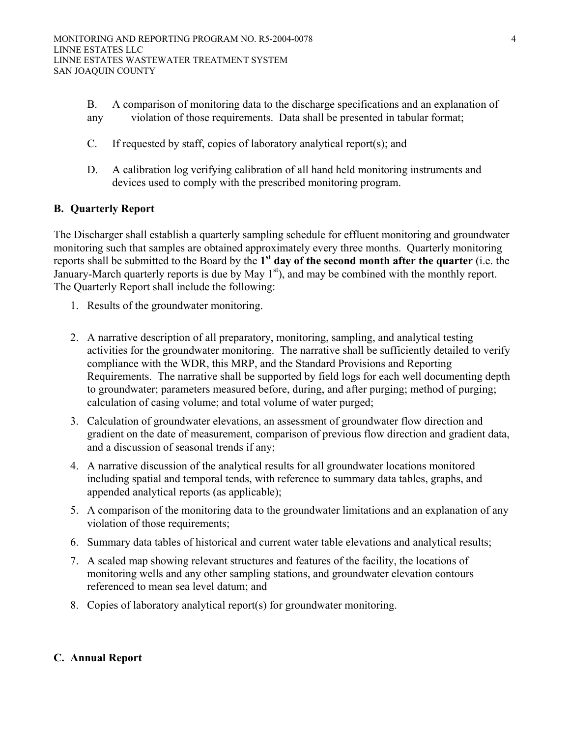- B. A comparison of monitoring data to the discharge specifications and an explanation of any violation of those requirements. Data shall be presented in tabular format;
- C. If requested by staff, copies of laboratory analytical report(s); and
- D. A calibration log verifying calibration of all hand held monitoring instruments and devices used to comply with the prescribed monitoring program.

#### **B. Quarterly Report**

The Discharger shall establish a quarterly sampling schedule for effluent monitoring and groundwater monitoring such that samples are obtained approximately every three months. Quarterly monitoring reports shall be submitted to the Board by the **1st day of the second month after the quarter** (i.e. the January-March quarterly reports is due by May  $1<sup>st</sup>$ , and may be combined with the monthly report. The Quarterly Report shall include the following:

- 1. Results of the groundwater monitoring.
- 2. A narrative description of all preparatory, monitoring, sampling, and analytical testing activities for the groundwater monitoring. The narrative shall be sufficiently detailed to verify compliance with the WDR, this MRP, and the Standard Provisions and Reporting Requirements. The narrative shall be supported by field logs for each well documenting depth to groundwater; parameters measured before, during, and after purging; method of purging; calculation of casing volume; and total volume of water purged;
- 3. Calculation of groundwater elevations, an assessment of groundwater flow direction and gradient on the date of measurement, comparison of previous flow direction and gradient data, and a discussion of seasonal trends if any;
- 4. A narrative discussion of the analytical results for all groundwater locations monitored including spatial and temporal tends, with reference to summary data tables, graphs, and appended analytical reports (as applicable);
- 5. A comparison of the monitoring data to the groundwater limitations and an explanation of any violation of those requirements;
- 6. Summary data tables of historical and current water table elevations and analytical results;
- 7. A scaled map showing relevant structures and features of the facility, the locations of monitoring wells and any other sampling stations, and groundwater elevation contours referenced to mean sea level datum; and
- 8. Copies of laboratory analytical report(s) for groundwater monitoring.

#### **C. Annual Report**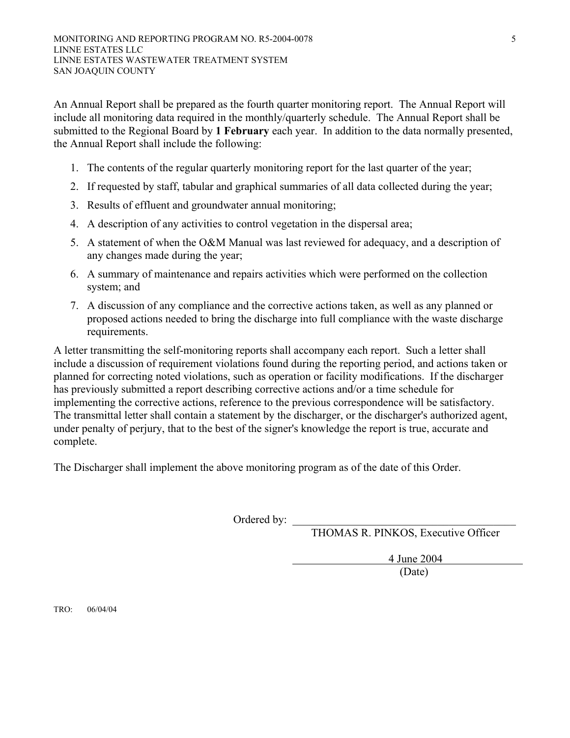An Annual Report shall be prepared as the fourth quarter monitoring report. The Annual Report will include all monitoring data required in the monthly/quarterly schedule. The Annual Report shall be submitted to the Regional Board by **1 February** each year. In addition to the data normally presented, the Annual Report shall include the following:

- 1. The contents of the regular quarterly monitoring report for the last quarter of the year;
- 2. If requested by staff, tabular and graphical summaries of all data collected during the year;
- 3. Results of effluent and groundwater annual monitoring;
- 4. A description of any activities to control vegetation in the dispersal area;
- 5. A statement of when the O&M Manual was last reviewed for adequacy, and a description of any changes made during the year;
- 6. A summary of maintenance and repairs activities which were performed on the collection system; and
- 7. A discussion of any compliance and the corrective actions taken, as well as any planned or proposed actions needed to bring the discharge into full compliance with the waste discharge requirements.

A letter transmitting the self-monitoring reports shall accompany each report. Such a letter shall include a discussion of requirement violations found during the reporting period, and actions taken or planned for correcting noted violations, such as operation or facility modifications. If the discharger has previously submitted a report describing corrective actions and/or a time schedule for implementing the corrective actions, reference to the previous correspondence will be satisfactory. The transmittal letter shall contain a statement by the discharger, or the discharger's authorized agent, under penalty of perjury, that to the best of the signer's knowledge the report is true, accurate and complete.

The Discharger shall implement the above monitoring program as of the date of this Order.

Ordered by:

THOMAS R. PINKOS, Executive Officer

 4 June 2004 (Date)

TRO: 06/04/04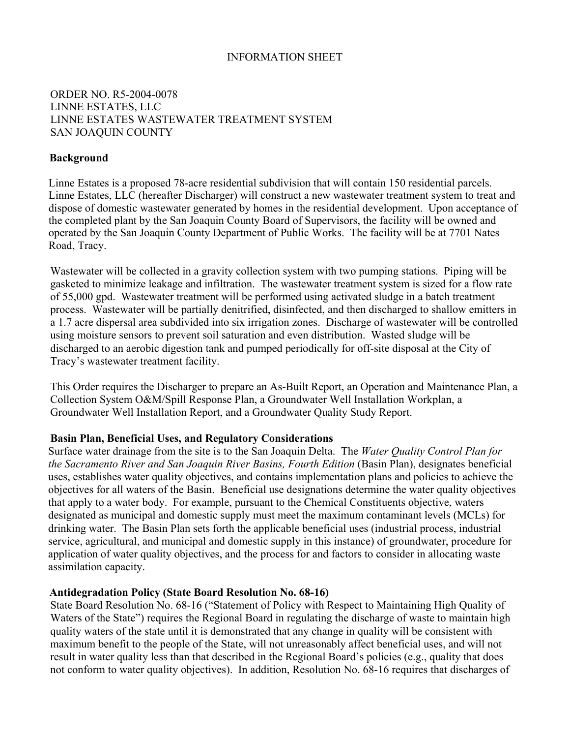## INFORMATION SHEET

## ORDER NO. R5-2004-0078 LINNE ESTATES, LLC LINNE ESTATES WASTEWATER TREATMENT SYSTEM SAN JOAQUIN COUNTY

#### **Background**

Linne Estates is a proposed 78-acre residential subdivision that will contain 150 residential parcels. Linne Estates, LLC (hereafter Discharger) will construct a new wastewater treatment system to treat and dispose of domestic wastewater generated by homes in the residential development. Upon acceptance of the completed plant by the San Joaquin County Board of Supervisors, the facility will be owned and operated by the San Joaquin County Department of Public Works. The facility will be at 7701 Nates Road, Tracy.

Wastewater will be collected in a gravity collection system with two pumping stations. Piping will be gasketed to minimize leakage and infiltration. The wastewater treatment system is sized for a flow rate of 55,000 gpd. Wastewater treatment will be performed using activated sludge in a batch treatment process. Wastewater will be partially denitrified, disinfected, and then discharged to shallow emitters in a 1.7 acre dispersal area subdivided into six irrigation zones. Discharge of wastewater will be controlled using moisture sensors to prevent soil saturation and even distribution. Wasted sludge will be discharged to an aerobic digestion tank and pumped periodically for off-site disposal at the City of Tracy's wastewater treatment facility.

This Order requires the Discharger to prepare an As-Built Report, an Operation and Maintenance Plan, a Collection System O&M/Spill Response Plan, a Groundwater Well Installation Workplan, a Groundwater Well Installation Report, and a Groundwater Quality Study Report.

#### **Basin Plan, Beneficial Uses, and Regulatory Considerations**

Surface water drainage from the site is to the San Joaquin Delta. The *Water Quality Control Plan for the Sacramento River and San Joaquin River Basins, Fourth Edition* (Basin Plan), designates beneficial uses, establishes water quality objectives, and contains implementation plans and policies to achieve the objectives for all waters of the Basin. Beneficial use designations determine the water quality objectives that apply to a water body. For example, pursuant to the Chemical Constituents objective, waters designated as municipal and domestic supply must meet the maximum contaminant levels (MCLs) for drinking water. The Basin Plan sets forth the applicable beneficial uses (industrial process, industrial service, agricultural, and municipal and domestic supply in this instance) of groundwater, procedure for application of water quality objectives, and the process for and factors to consider in allocating waste assimilation capacity.

#### **Antidegradation Policy (State Board Resolution No. 68-16)**

State Board Resolution No. 68-16 ("Statement of Policy with Respect to Maintaining High Quality of Waters of the State") requires the Regional Board in regulating the discharge of waste to maintain high quality waters of the state until it is demonstrated that any change in quality will be consistent with maximum benefit to the people of the State, will not unreasonably affect beneficial uses, and will not result in water quality less than that described in the Regional Board's policies (e.g., quality that does not conform to water quality objectives). In addition, Resolution No. 68-16 requires that discharges of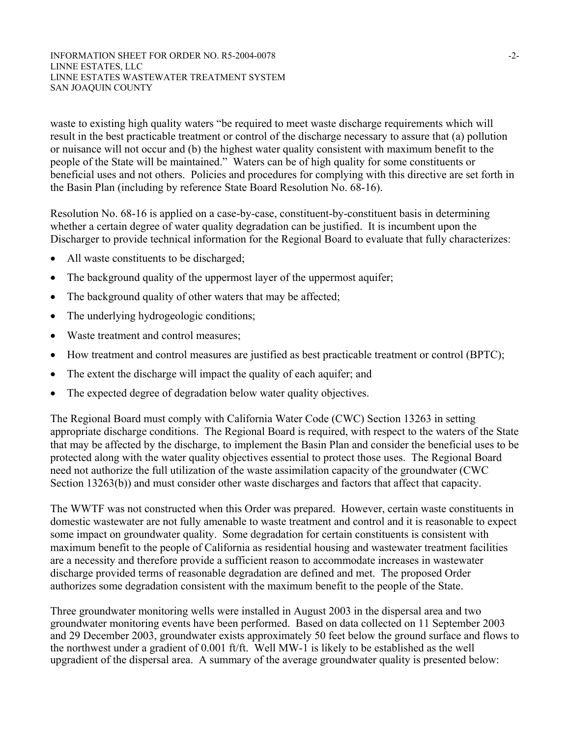#### INFORMATION SHEET FOR ORDER NO. R5-2004-0078  $-2$ -LINNE ESTATES, LLC LINNE ESTATES WASTEWATER TREATMENT SYSTEM SAN JOAQUIN COUNTY

waste to existing high quality waters "be required to meet waste discharge requirements which will result in the best practicable treatment or control of the discharge necessary to assure that (a) pollution or nuisance will not occur and (b) the highest water quality consistent with maximum benefit to the people of the State will be maintained." Waters can be of high quality for some constituents or beneficial uses and not others. Policies and procedures for complying with this directive are set forth in the Basin Plan (including by reference State Board Resolution No. 68-16).

Resolution No. 68-16 is applied on a case-by-case, constituent-by-constituent basis in determining whether a certain degree of water quality degradation can be justified. It is incumbent upon the Discharger to provide technical information for the Regional Board to evaluate that fully characterizes:

- All waste constituents to be discharged;
- The background quality of the uppermost layer of the uppermost aquifer;
- The background quality of other waters that may be affected;
- The underlying hydrogeologic conditions;
- Waste treatment and control measures;
- How treatment and control measures are justified as best practicable treatment or control (BPTC);
- The extent the discharge will impact the quality of each aquifer; and
- The expected degree of degradation below water quality objectives.

The Regional Board must comply with California Water Code (CWC) Section 13263 in setting appropriate discharge conditions. The Regional Board is required, with respect to the waters of the State that may be affected by the discharge, to implement the Basin Plan and consider the beneficial uses to be protected along with the water quality objectives essential to protect those uses. The Regional Board need not authorize the full utilization of the waste assimilation capacity of the groundwater (CWC Section 13263(b)) and must consider other waste discharges and factors that affect that capacity.

The WWTF was not constructed when this Order was prepared. However, certain waste constituents in domestic wastewater are not fully amenable to waste treatment and control and it is reasonable to expect some impact on groundwater quality. Some degradation for certain constituents is consistent with maximum benefit to the people of California as residential housing and wastewater treatment facilities are a necessity and therefore provide a sufficient reason to accommodate increases in wastewater discharge provided terms of reasonable degradation are defined and met. The proposed Order authorizes some degradation consistent with the maximum benefit to the people of the State.

Three groundwater monitoring wells were installed in August 2003 in the dispersal area and two groundwater monitoring events have been performed. Based on data collected on 11 September 2003 and 29 December 2003, groundwater exists approximately 50 feet below the ground surface and flows to the northwest under a gradient of 0.001 ft/ft. Well MW-1 is likely to be established as the well upgradient of the dispersal area. A summary of the average groundwater quality is presented below: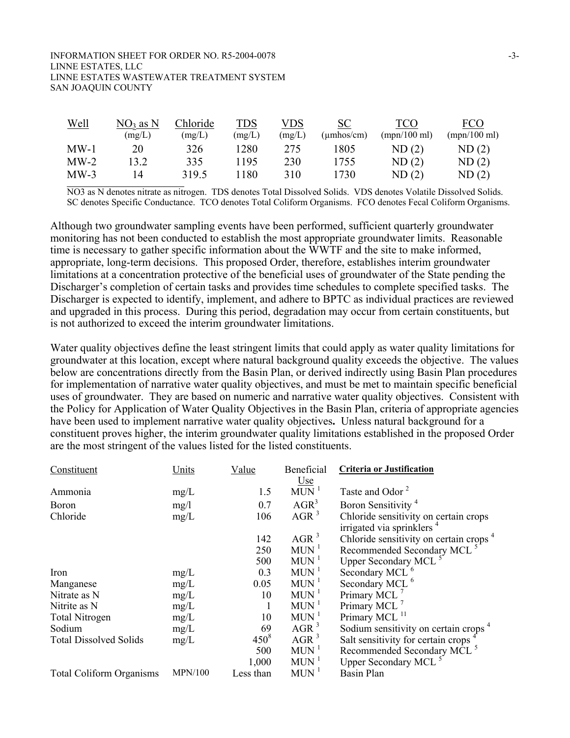#### INFORMATION SHEET FOR ORDER NO. R5-2004-0078  $-3-$ LINNE ESTATES, LLC LINNE ESTATES WASTEWATER TREATMENT SYSTEM SAN JOAQUIN COUNTY

| <u>Well</u> | NO3 as N | Chloride | TDS    | VDS    | <u>SC</u>  | TCO          | FCO          |
|-------------|----------|----------|--------|--------|------------|--------------|--------------|
|             | (mg/L)   | (mg/L)   | (mg/L) | (mg/L) | (umhos/cm) | (mpn/100 ml) | (mpn/100 ml) |
| $MW-1$      | 20       | 326      | 1280   | 275    | 1805       | ND(2)        | ND(2)        |
| $MW-2$      | 13.2     | 335      | 1195   | 230    | 1755       | ND(2)        | ND(2)        |
| $MW-3$      | 14       | 319.5    | 180    | 310    | 1730       | ND(2)        | ND(2)        |

NO3 as N denotes nitrate as nitrogen. TDS denotes Total Dissolved Solids. VDS denotes Volatile Dissolved Solids. SC denotes Specific Conductance. TCO denotes Total Coliform Organisms. FCO denotes Fecal Coliform Organisms.

Although two groundwater sampling events have been performed, sufficient quarterly groundwater monitoring has not been conducted to establish the most appropriate groundwater limits. Reasonable time is necessary to gather specific information about the WWTF and the site to make informed, appropriate, long-term decisions. This proposed Order, therefore, establishes interim groundwater limitations at a concentration protective of the beneficial uses of groundwater of the State pending the Discharger's completion of certain tasks and provides time schedules to complete specified tasks. The Discharger is expected to identify, implement, and adhere to BPTC as individual practices are reviewed and upgraded in this process. During this period, degradation may occur from certain constituents, but is not authorized to exceed the interim groundwater limitations.

Water quality objectives define the least stringent limits that could apply as water quality limitations for groundwater at this location, except where natural background quality exceeds the objective. The values below are concentrations directly from the Basin Plan, or derived indirectly using Basin Plan procedures for implementation of narrative water quality objectives, and must be met to maintain specific beneficial uses of groundwater. They are based on numeric and narrative water quality objectives. Consistent with the Policy for Application of Water Quality Objectives in the Basin Plan, criteria of appropriate agencies have been used to implement narrative water quality objectives**.** Unless natural background for a constituent proves higher, the interim groundwater quality limitations established in the proposed Order are the most stringent of the values listed for the listed constituents.

| Constituent                     | Units          | Value     | Beneficial         | Criteria or Justification                          |
|---------------------------------|----------------|-----------|--------------------|----------------------------------------------------|
|                                 |                |           | <u>Use</u>         |                                                    |
| Ammonia                         | mg/L           | 1.5       | $MUN$ <sup>1</sup> | Taste and Odor <sup>2</sup>                        |
| <b>Boron</b>                    | mg/l           | 0.7       | $AGR^3$            | Boron Sensitivity <sup>4</sup>                     |
| Chloride                        | mg/L           | 106       | AGR <sup>3</sup>   | Chloride sensitivity on certain crops              |
|                                 |                |           |                    | irrigated via sprinklers <sup>4</sup>              |
|                                 |                | 142       | AGR <sup>3</sup>   | Chloride sensitivity on certain crops <sup>4</sup> |
|                                 |                | 250       | $MUN$ <sup>1</sup> | Recommended Secondary MCL <sup>5</sup>             |
|                                 |                | 500       | $MUN$ <sup>1</sup> | Upper Secondary MCL <sup>5</sup>                   |
| Iron                            | mg/L           | 0.3       | $MUN$ <sup>1</sup> | Secondary MCL <sup>6</sup>                         |
| Manganese                       | mg/L           | 0.05      | $MUN$ <sup>1</sup> | Secondary MCL <sup>6</sup>                         |
| Nitrate as N                    | mg/L           | 10        | $MUN$ <sup>1</sup> | Primary MCL                                        |
| Nitrite as N                    | mg/L           | 1         | $MUN$ <sup>1</sup> | Primary MCL                                        |
| <b>Total Nitrogen</b>           | mg/L           | 10        | $MUN$ <sup>1</sup> | Primary MCL <sup>11</sup>                          |
| Sodium                          | mg/L           | 69        | $AGR^3$            | Sodium sensitivity on certain crops <sup>4</sup>   |
| <b>Total Dissolved Solids</b>   | mg/L           | $450^8$   | AGR <sup>3</sup>   | Salt sensitivity for certain crops <sup>4</sup>    |
|                                 |                | 500       | $MUN$ <sup>1</sup> | Recommended Secondary MCL <sup>5</sup>             |
|                                 |                | 1,000     | $MUN$ <sup>1</sup> | <b>Upper Secondary MCL</b>                         |
| <b>Total Coliform Organisms</b> | <b>MPN/100</b> | Less than | $MUN$ <sup>1</sup> | <b>Basin Plan</b>                                  |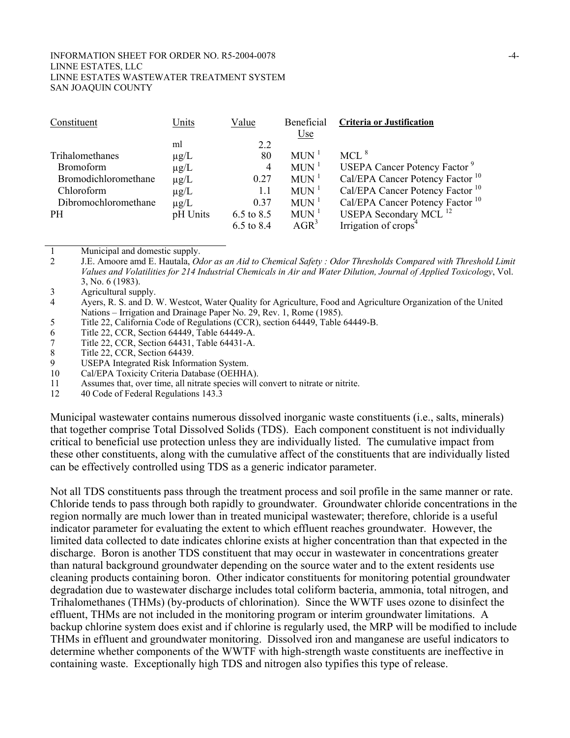#### INFORMATION SHEET FOR ORDER NO. R5-2004-0078  $-4-$ LINNE ESTATES, LLC LINNE ESTATES WASTEWATER TREATMENT SYSTEM SAN JOAQUIN COUNTY

| Constituent          | Units     | Value      | Beneficial         | <b>Criteria or Justification</b>                |
|----------------------|-----------|------------|--------------------|-------------------------------------------------|
|                      |           |            | <b>Use</b>         |                                                 |
|                      | ml        | 2.2        |                    |                                                 |
| Trihalomethanes      | $\mu$ g/L | 80         | $MUN$ <sup>1</sup> | $MCL$ <sup>8</sup>                              |
| <b>Bromoform</b>     | $\mu$ g/L | 4          | $MUN$ <sup>1</sup> | <b>USEPA Cancer Potency Factor</b> <sup>9</sup> |
| Bromodichloromethane | $\mu$ g/L | 0.27       | $MUN$ <sup>1</sup> | Cal/EPA Cancer Potency Factor <sup>10</sup>     |
| Chloroform           | $\mu$ g/L | 1.1        | $MUN$ <sup>1</sup> | Cal/EPA Cancer Potency Factor <sup>10</sup>     |
| Dibromochloromethane | $\mu$ g/L | 0.37       | $MUN$ <sup>1</sup> | Cal/EPA Cancer Potency Factor <sup>10</sup>     |
| <b>PH</b>            | pH Units  | 6.5 to 8.5 | $MUN$ <sup>1</sup> | USEPA Secondary MCL <sup>12</sup>               |
|                      |           | 6.5 to 8.4 | $AGR^3$            | Irrigation of crops <sup>4</sup>                |

1 Municipal and domestic supply.<br>2 I.E. Amoore amd E. Hautala  $Q_0$ 

2 J.E. Amoore amd E. Hautala, *Odor as an Aid to Chemical Safety : Odor Thresholds Compared with Threshold Limit Values and Volatilities for 214 Industrial Chemicals in Air and Water Dilution, Journal of Applied Toxicology*, Vol. 3, No. 6 (1983).

3 Agricultural supply.

4 Ayers, R. S. and D. W. Westcot, Water Quality for Agriculture, Food and Agriculture Organization of the United Nations – Irrigation and Drainage Paper No. 29, Rev. 1, Rome (1985).

5 Title 22, California Code of Regulations (CCR), section 64449, Table 64449-B.

6 Title 22, CCR, Section 64449, Table 64449-A.<br>7 Title 22, CCR, Section 64431, Table 64431-A.

7 Title 22, CCR, Section 64431, Table 64431-A.

8 Title 22, CCR, Section 64439.<br>9 USEPA Integrated Risk Inform

USEPA Integrated Risk Information System.

10 Cal/EPA Toxicity Criteria Database (OEHHA).

11 Assumes that, over time, all nitrate species will convert to nitrate or nitrite.

12 40 Code of Federal Regulations 143.3

Municipal wastewater contains numerous dissolved inorganic waste constituents (i.e., salts, minerals) that together comprise Total Dissolved Solids (TDS). Each component constituent is not individually critical to beneficial use protection unless they are individually listed. The cumulative impact from these other constituents, along with the cumulative affect of the constituents that are individually listed can be effectively controlled using TDS as a generic indicator parameter.

Not all TDS constituents pass through the treatment process and soil profile in the same manner or rate. Chloride tends to pass through both rapidly to groundwater. Groundwater chloride concentrations in the region normally are much lower than in treated municipal wastewater; therefore, chloride is a useful indicator parameter for evaluating the extent to which effluent reaches groundwater. However, the limited data collected to date indicates chlorine exists at higher concentration than that expected in the discharge. Boron is another TDS constituent that may occur in wastewater in concentrations greater than natural background groundwater depending on the source water and to the extent residents use cleaning products containing boron. Other indicator constituents for monitoring potential groundwater degradation due to wastewater discharge includes total coliform bacteria, ammonia, total nitrogen, and Trihalomethanes (THMs) (by-products of chlorination). Since the WWTF uses ozone to disinfect the effluent, THMs are not included in the monitoring program or interim groundwater limitations. A backup chlorine system does exist and if chlorine is regularly used, the MRP will be modified to include THMs in effluent and groundwater monitoring. Dissolved iron and manganese are useful indicators to determine whether components of the WWTF with high-strength waste constituents are ineffective in containing waste. Exceptionally high TDS and nitrogen also typifies this type of release.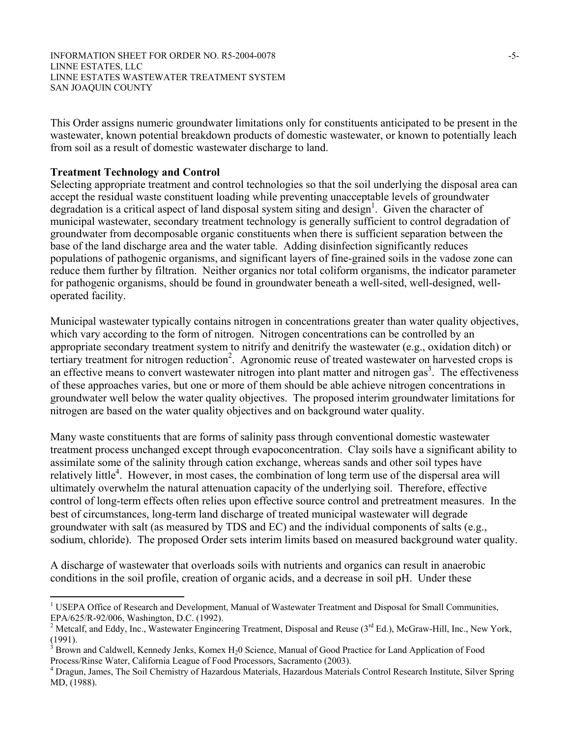INFORMATION SHEET FOR ORDER NO. R5-2004-0078 -5-LINNE ESTATES, LLC LINNE ESTATES WASTEWATER TREATMENT SYSTEM SAN JOAQUIN COUNTY

This Order assigns numeric groundwater limitations only for constituents anticipated to be present in the wastewater, known potential breakdown products of domestic wastewater, or known to potentially leach from soil as a result of domestic wastewater discharge to land.

#### **Treatment Technology and Control**

 $\overline{a}$ 

Selecting appropriate treatment and control technologies so that the soil underlying the disposal area can accept the residual waste constituent loading while preventing unacceptable levels of groundwater degradation is a critical aspect of land disposal system siting and design<sup>1</sup>. Given the character of municipal wastewater, secondary treatment technology is generally sufficient to control degradation of groundwater from decomposable organic constituents when there is sufficient separation between the base of the land discharge area and the water table. Adding disinfection significantly reduces populations of pathogenic organisms, and significant layers of fine-grained soils in the vadose zone can reduce them further by filtration. Neither organics nor total coliform organisms, the indicator parameter for pathogenic organisms, should be found in groundwater beneath a well-sited, well-designed, welloperated facility.

Municipal wastewater typically contains nitrogen in concentrations greater than water quality objectives, which vary according to the form of nitrogen. Nitrogen concentrations can be controlled by an appropriate secondary treatment system to nitrify and denitrify the wastewater (e.g., oxidation ditch) or tertiary treatment for nitrogen reduction<sup>2</sup>. Agronomic reuse of treated wastewater on harvested crops is an effective means to convert wastewater nitrogen into plant matter and nitrogen gas<sup>3</sup>. The effectiveness of these approaches varies, but one or more of them should be able achieve nitrogen concentrations in groundwater well below the water quality objectives. The proposed interim groundwater limitations for nitrogen are based on the water quality objectives and on background water quality.

Many waste constituents that are forms of salinity pass through conventional domestic wastewater treatment process unchanged except through evapoconcentration. Clay soils have a significant ability to assimilate some of the salinity through cation exchange, whereas sands and other soil types have relatively little<sup>4</sup>. However, in most cases, the combination of long term use of the dispersal area will ultimately overwhelm the natural attenuation capacity of the underlying soil. Therefore, effective control of long-term effects often relies upon effective source control and pretreatment measures. In the best of circumstances, long-term land discharge of treated municipal wastewater will degrade groundwater with salt (as measured by TDS and EC) and the individual components of salts (e.g., sodium, chloride). The proposed Order sets interim limits based on measured background water quality.

A discharge of wastewater that overloads soils with nutrients and organics can result in anaerobic conditions in the soil profile, creation of organic acids, and a decrease in soil pH. Under these

<sup>&</sup>lt;sup>1</sup> USEPA Office of Research and Development, Manual of Wastewater Treatment and Disposal for Small Communities, EPA/625/R-92/006, Washington, D.C. (1992).

<sup>2</sup> Metcalf, and Eddy, Inc., Wastewater Engineering Treatment, Disposal and Reuse (3<sup>rd</sup> Ed.), McGraw-Hill, Inc., New York, (1991).

<sup>3</sup> Brown and Caldwell, Kennedy Jenks, Komex H<sub>2</sub>0 Science, Manual of Good Practice for Land Application of Food Process/Rinse Water, California League of Food Processors, Sacramento (2003). 4

Dragun, James, The Soil Chemistry of Hazardous Materials, Hazardous Materials Control Research Institute, Silver Spring MD, (1988).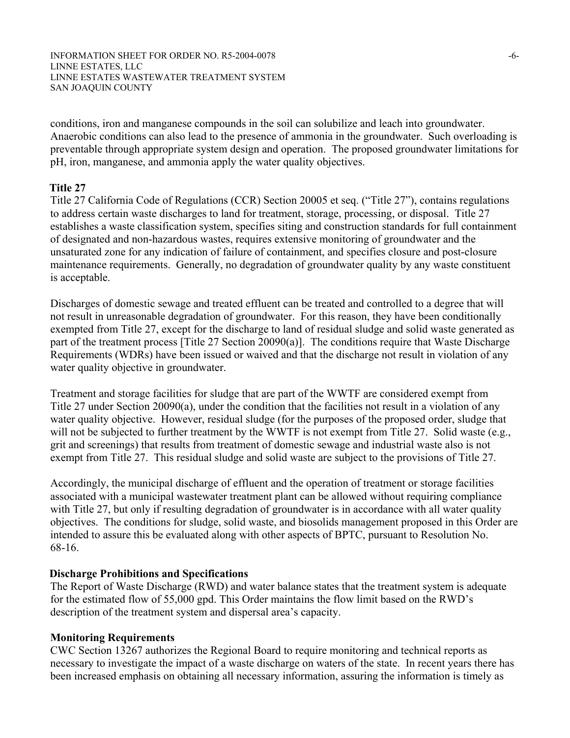INFORMATION SHEET FOR ORDER NO. R5-2004-0078 -6- LINNE ESTATES, LLC LINNE ESTATES WASTEWATER TREATMENT SYSTEM SAN JOAQUIN COUNTY

conditions, iron and manganese compounds in the soil can solubilize and leach into groundwater. Anaerobic conditions can also lead to the presence of ammonia in the groundwater. Such overloading is preventable through appropriate system design and operation. The proposed groundwater limitations for pH, iron, manganese, and ammonia apply the water quality objectives.

## **Title 27**

Title 27 California Code of Regulations (CCR) Section 20005 et seq. ("Title 27"), contains regulations to address certain waste discharges to land for treatment, storage, processing, or disposal. Title 27 establishes a waste classification system, specifies siting and construction standards for full containment of designated and non-hazardous wastes, requires extensive monitoring of groundwater and the unsaturated zone for any indication of failure of containment, and specifies closure and post-closure maintenance requirements. Generally, no degradation of groundwater quality by any waste constituent is acceptable.

Discharges of domestic sewage and treated effluent can be treated and controlled to a degree that will not result in unreasonable degradation of groundwater. For this reason, they have been conditionally exempted from Title 27, except for the discharge to land of residual sludge and solid waste generated as part of the treatment process [Title 27 Section 20090(a)]. The conditions require that Waste Discharge Requirements (WDRs) have been issued or waived and that the discharge not result in violation of any water quality objective in groundwater.

Treatment and storage facilities for sludge that are part of the WWTF are considered exempt from Title 27 under Section 20090(a), under the condition that the facilities not result in a violation of any water quality objective. However, residual sludge (for the purposes of the proposed order, sludge that will not be subjected to further treatment by the WWTF is not exempt from Title 27. Solid waste (e.g., grit and screenings) that results from treatment of domestic sewage and industrial waste also is not exempt from Title 27. This residual sludge and solid waste are subject to the provisions of Title 27.

Accordingly, the municipal discharge of effluent and the operation of treatment or storage facilities associated with a municipal wastewater treatment plant can be allowed without requiring compliance with Title 27, but only if resulting degradation of groundwater is in accordance with all water quality objectives. The conditions for sludge, solid waste, and biosolids management proposed in this Order are intended to assure this be evaluated along with other aspects of BPTC, pursuant to Resolution No. 68-16.

#### **Discharge Prohibitions and Specifications**

The Report of Waste Discharge (RWD) and water balance states that the treatment system is adequate for the estimated flow of 55,000 gpd. This Order maintains the flow limit based on the RWD's description of the treatment system and dispersal area's capacity.

#### **Monitoring Requirements**

CWC Section 13267 authorizes the Regional Board to require monitoring and technical reports as necessary to investigate the impact of a waste discharge on waters of the state. In recent years there has been increased emphasis on obtaining all necessary information, assuring the information is timely as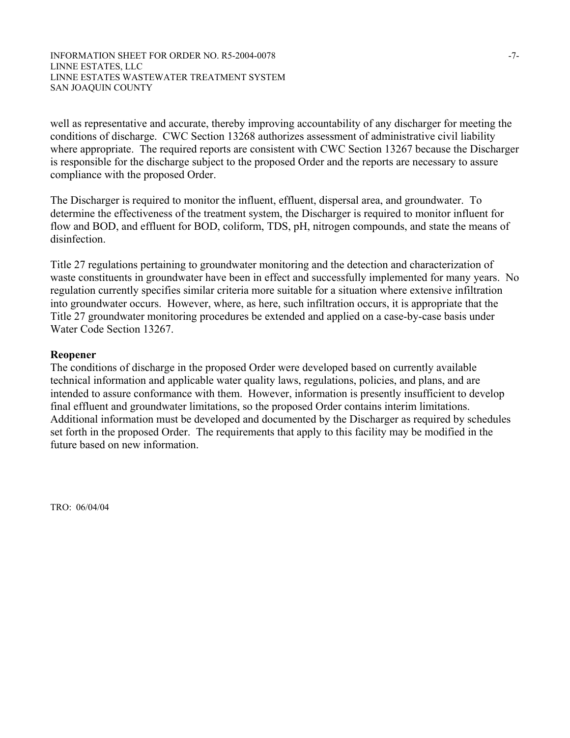well as representative and accurate, thereby improving accountability of any discharger for meeting the conditions of discharge. CWC Section 13268 authorizes assessment of administrative civil liability where appropriate. The required reports are consistent with CWC Section 13267 because the Discharger is responsible for the discharge subject to the proposed Order and the reports are necessary to assure compliance with the proposed Order.

The Discharger is required to monitor the influent, effluent, dispersal area, and groundwater. To determine the effectiveness of the treatment system, the Discharger is required to monitor influent for flow and BOD, and effluent for BOD, coliform, TDS, pH, nitrogen compounds, and state the means of disinfection.

Title 27 regulations pertaining to groundwater monitoring and the detection and characterization of waste constituents in groundwater have been in effect and successfully implemented for many years. No regulation currently specifies similar criteria more suitable for a situation where extensive infiltration into groundwater occurs. However, where, as here, such infiltration occurs, it is appropriate that the Title 27 groundwater monitoring procedures be extended and applied on a case-by-case basis under Water Code Section 13267.

#### **Reopener**

The conditions of discharge in the proposed Order were developed based on currently available technical information and applicable water quality laws, regulations, policies, and plans, and are intended to assure conformance with them. However, information is presently insufficient to develop final effluent and groundwater limitations, so the proposed Order contains interim limitations. Additional information must be developed and documented by the Discharger as required by schedules set forth in the proposed Order. The requirements that apply to this facility may be modified in the future based on new information.

TRO: 06/04/04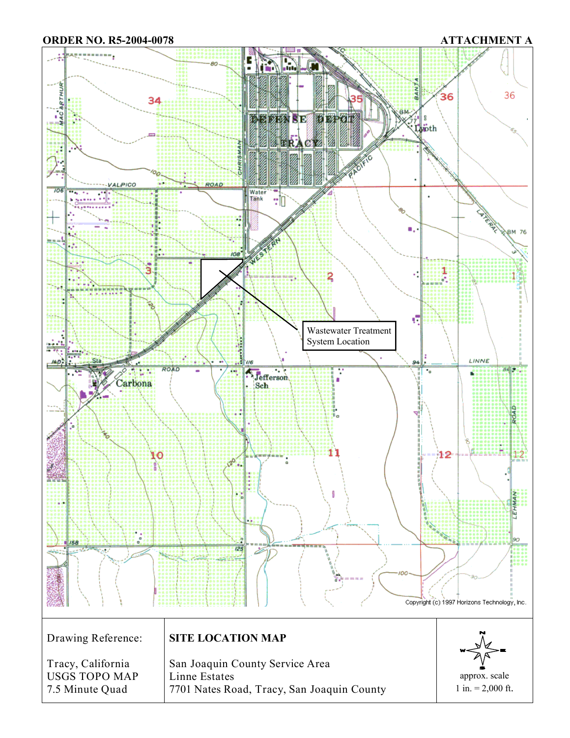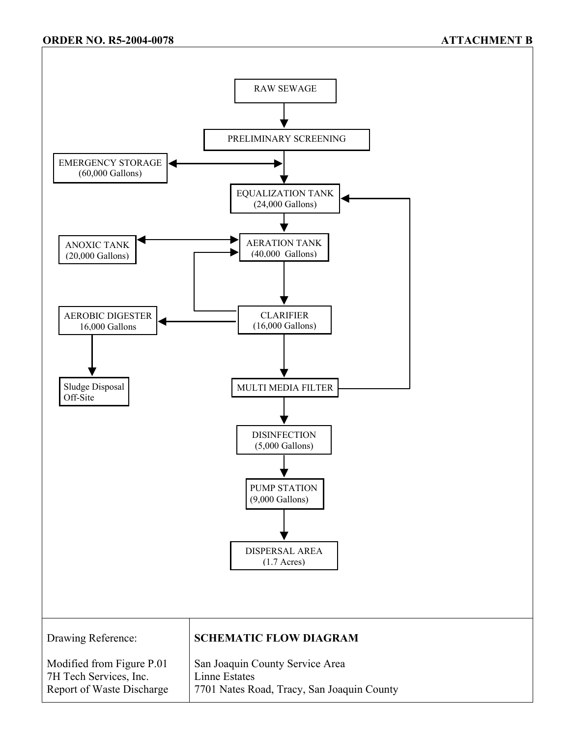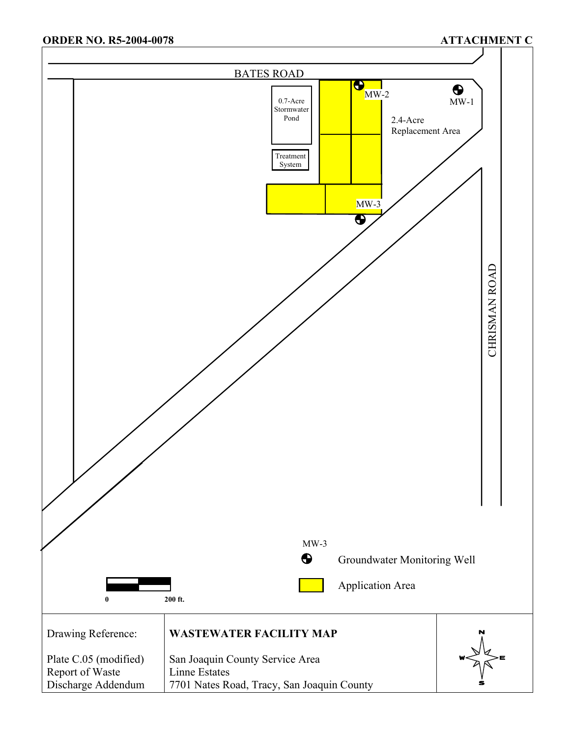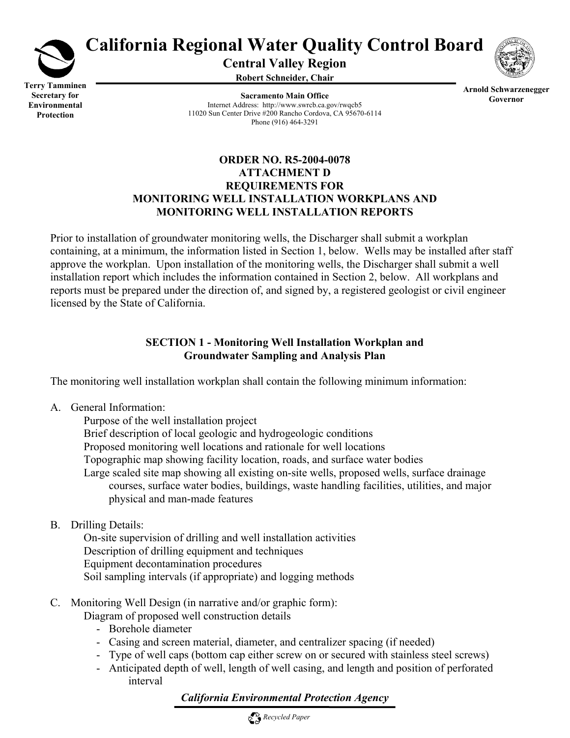

# **California Regional Water Quality Control Board**

**Central Valley Region** 

**Robert Schneider, Chair**



**Terry Tamminen Secretary for Environmental Protection** 

**Sacramento Main Office** Internet Address: http://www.swrcb.ca.gov/rwqcb5 11020 Sun Center Drive #200 Rancho Cordova, CA 95670-6114 Phone (916) 464-3291

**Arnold Schwarzenegger Governor** 

## **ORDER NO. R5-2004-0078 ATTACHMENT D REQUIREMENTS FOR MONITORING WELL INSTALLATION WORKPLANS AND MONITORING WELL INSTALLATION REPORTS**

Prior to installation of groundwater monitoring wells, the Discharger shall submit a workplan containing, at a minimum, the information listed in Section 1, below. Wells may be installed after staff approve the workplan. Upon installation of the monitoring wells, the Discharger shall submit a well installation report which includes the information contained in Section 2, below. All workplans and reports must be prepared under the direction of, and signed by, a registered geologist or civil engineer licensed by the State of California.

# **SECTION 1 - Monitoring Well Installation Workplan and Groundwater Sampling and Analysis Plan**

The monitoring well installation workplan shall contain the following minimum information:

A. General Information:

 Purpose of the well installation project Brief description of local geologic and hydrogeologic conditions Proposed monitoring well locations and rationale for well locations Topographic map showing facility location, roads, and surface water bodies Large scaled site map showing all existing on-site wells, proposed wells, surface drainage courses, surface water bodies, buildings, waste handling facilities, utilities, and major physical and man-made features

B. Drilling Details:

 On-site supervision of drilling and well installation activities Description of drilling equipment and techniques Equipment decontamination procedures Soil sampling intervals (if appropriate) and logging methods

C. Monitoring Well Design (in narrative and/or graphic form):

Diagram of proposed well construction details

- Borehole diameter
- Casing and screen material, diameter, and centralizer spacing (if needed)
- Type of well caps (bottom cap either screw on or secured with stainless steel screws)
- Anticipated depth of well, length of well casing, and length and position of perforated interval

# *California Environmental Protection Agency*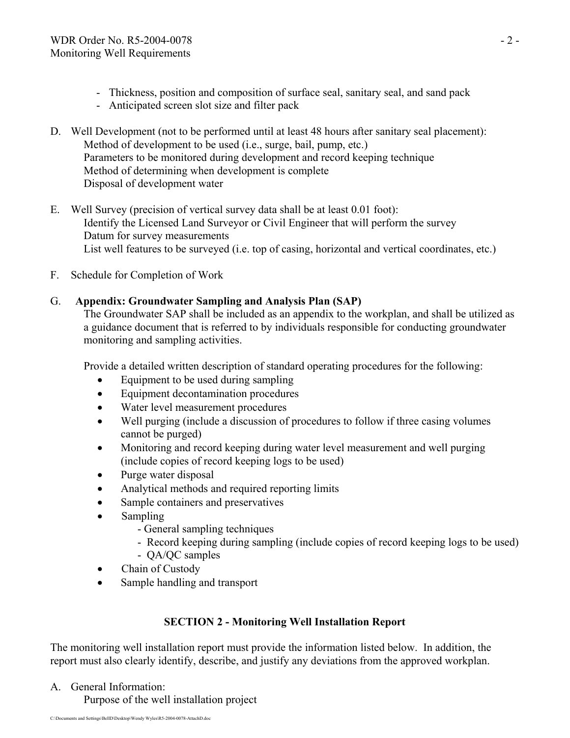- Thickness, position and composition of surface seal, sanitary seal, and sand pack
- Anticipated screen slot size and filter pack
- D. Well Development (not to be performed until at least 48 hours after sanitary seal placement): Method of development to be used (i.e., surge, bail, pump, etc.) Parameters to be monitored during development and record keeping technique Method of determining when development is complete Disposal of development water
- E. Well Survey (precision of vertical survey data shall be at least 0.01 foot): Identify the Licensed Land Surveyor or Civil Engineer that will perform the survey Datum for survey measurements List well features to be surveyed (i.e. top of casing, horizontal and vertical coordinates, etc.)
- F. Schedule for Completion of Work

## G. **Appendix: Groundwater Sampling and Analysis Plan (SAP)**

The Groundwater SAP shall be included as an appendix to the workplan, and shall be utilized as a guidance document that is referred to by individuals responsible for conducting groundwater monitoring and sampling activities.

Provide a detailed written description of standard operating procedures for the following:

- Equipment to be used during sampling
- Equipment decontamination procedures
- Water level measurement procedures
- Well purging (include a discussion of procedures to follow if three casing volumes cannot be purged)
- Monitoring and record keeping during water level measurement and well purging (include copies of record keeping logs to be used)
- Purge water disposal
- Analytical methods and required reporting limits
- Sample containers and preservatives
- Sampling
	- General sampling techniques
	- Record keeping during sampling (include copies of record keeping logs to be used)
	- QA/QC samples
- Chain of Custody
- Sample handling and transport

# **SECTION 2 - Monitoring Well Installation Report**

The monitoring well installation report must provide the information listed below. In addition, the report must also clearly identify, describe, and justify any deviations from the approved workplan.

A. General Information:

Purpose of the well installation project